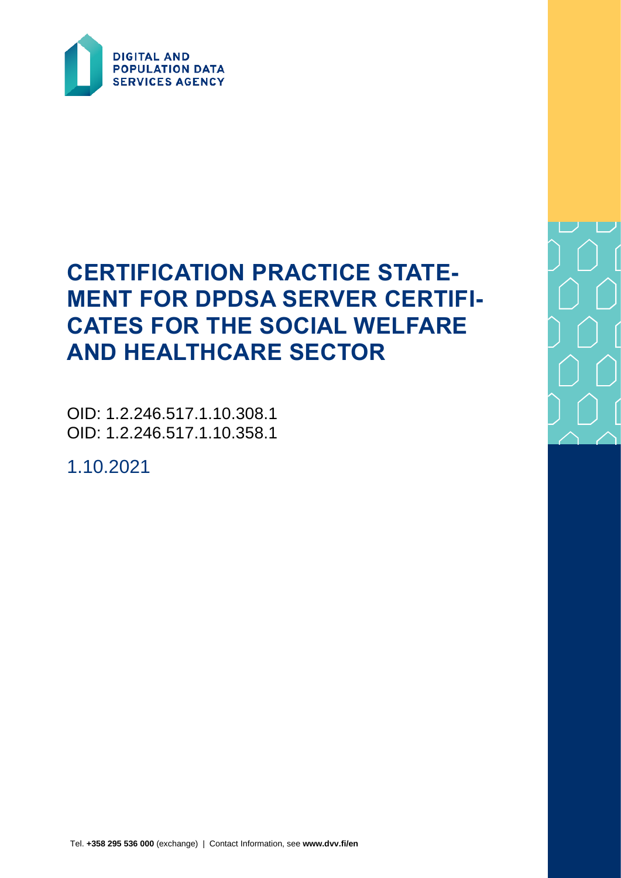

# **CERTIFICATION PRACTICE STATE-MENT FOR DPDSA SERVER CERTIFI-CATES FOR THE SOCIAL WELFARE AND HEALTHCARE SECTOR**

OID: 1.2.246.517.1.10.308.1 OID: 1.2.246.517.1.10.358.1

1.10.2021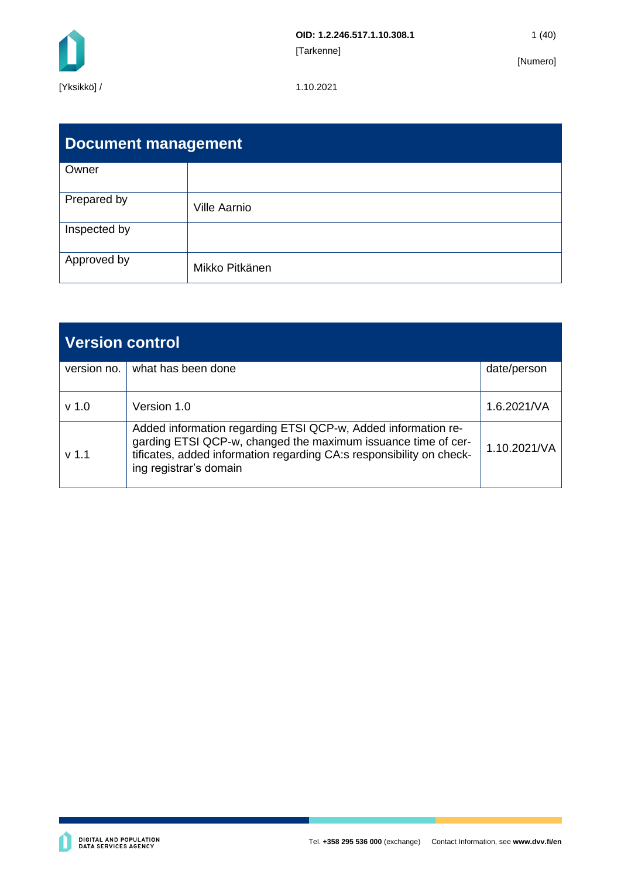

| <b>Document management</b> |                     |  |  |  |
|----------------------------|---------------------|--|--|--|
| Owner                      |                     |  |  |  |
| Prepared by                | <b>Ville Aarnio</b> |  |  |  |
| Inspected by               |                     |  |  |  |
| Approved by                | Mikko Pitkänen      |  |  |  |

| <b>Version control</b> |                                                                                                                                                                                                                                  |              |  |  |
|------------------------|----------------------------------------------------------------------------------------------------------------------------------------------------------------------------------------------------------------------------------|--------------|--|--|
| version no.            | what has been done                                                                                                                                                                                                               | date/person  |  |  |
| $v$ 1.0                | Version 1.0                                                                                                                                                                                                                      | 1.6.2021/NA  |  |  |
| v <sub>1.1</sub>       | Added information regarding ETSI QCP-w, Added information re-<br>garding ETSI QCP-w, changed the maximum issuance time of cer-<br>tificates, added information regarding CA:s responsibility on check-<br>ing registrar's domain | 1.10.2021/VA |  |  |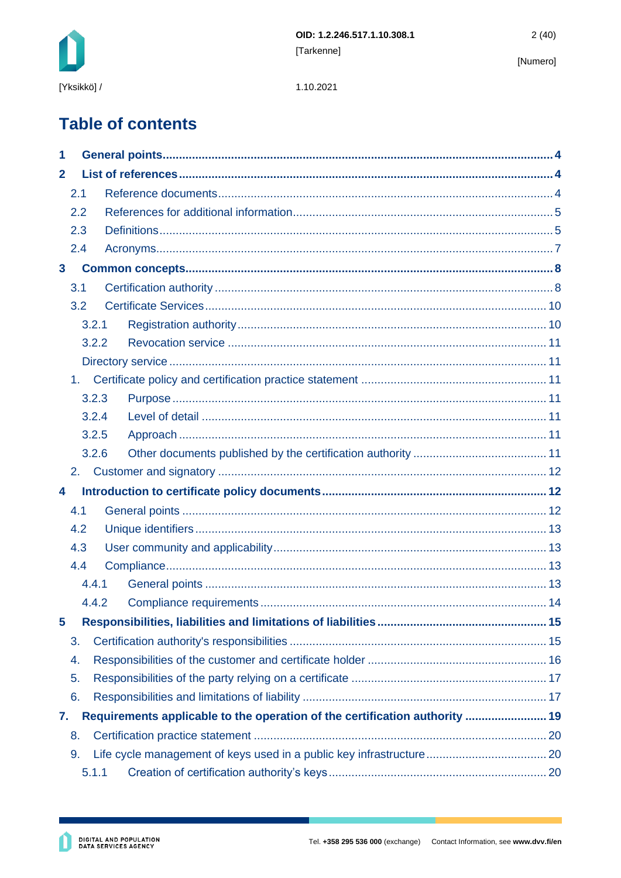

1.10.2021

# **Table of contents**

| 1                       |     |       |                                                                             |  |  |  |
|-------------------------|-----|-------|-----------------------------------------------------------------------------|--|--|--|
| $\mathbf{2}$            |     |       |                                                                             |  |  |  |
|                         | 2.1 |       |                                                                             |  |  |  |
|                         | 2.2 |       |                                                                             |  |  |  |
|                         | 2.3 |       |                                                                             |  |  |  |
|                         | 2.4 |       |                                                                             |  |  |  |
| $\overline{\mathbf{3}}$ |     |       |                                                                             |  |  |  |
|                         | 3.1 |       |                                                                             |  |  |  |
|                         | 3.2 |       |                                                                             |  |  |  |
|                         |     | 3.2.1 |                                                                             |  |  |  |
|                         |     | 3.2.2 |                                                                             |  |  |  |
|                         |     |       |                                                                             |  |  |  |
|                         | 1.  |       |                                                                             |  |  |  |
|                         |     | 3.2.3 |                                                                             |  |  |  |
|                         |     | 3.2.4 |                                                                             |  |  |  |
|                         |     | 3.2.5 |                                                                             |  |  |  |
|                         |     | 3.2.6 |                                                                             |  |  |  |
|                         | 2.  |       |                                                                             |  |  |  |
| 4                       |     |       |                                                                             |  |  |  |
|                         | 4.1 |       |                                                                             |  |  |  |
|                         |     |       |                                                                             |  |  |  |
|                         | 4.2 |       |                                                                             |  |  |  |
|                         | 4.3 |       |                                                                             |  |  |  |
|                         | 4.4 |       |                                                                             |  |  |  |
|                         |     | 4.4.1 |                                                                             |  |  |  |
|                         |     | 4.4.2 |                                                                             |  |  |  |
| 5                       |     |       |                                                                             |  |  |  |
|                         | 3.  |       |                                                                             |  |  |  |
|                         | 4.  |       |                                                                             |  |  |  |
|                         | 5.  |       |                                                                             |  |  |  |
|                         | 6.  |       |                                                                             |  |  |  |
| 7.                      |     |       | Requirements applicable to the operation of the certification authority  19 |  |  |  |
|                         | 8.  |       |                                                                             |  |  |  |
|                         | 9.  |       |                                                                             |  |  |  |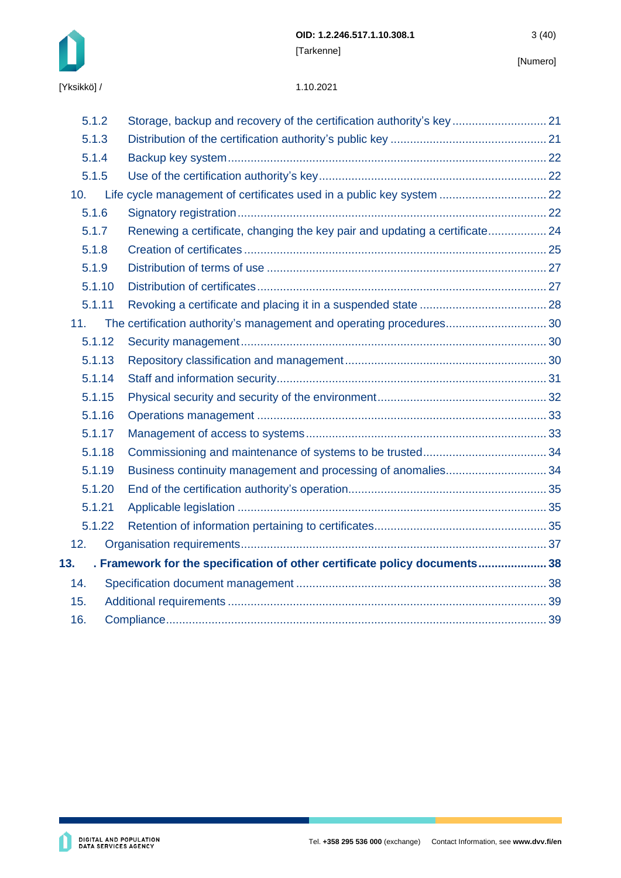

| 5.1.2  | Storage, backup and recovery of the certification authority's key 21        |  |
|--------|-----------------------------------------------------------------------------|--|
| 5.1.3  |                                                                             |  |
| 5.1.4  |                                                                             |  |
| 5.1.5  |                                                                             |  |
| 10.    | Life cycle management of certificates used in a public key system  22       |  |
| 5.1.6  |                                                                             |  |
| 5.1.7  | Renewing a certificate, changing the key pair and updating a certificate 24 |  |
| 5.1.8  |                                                                             |  |
| 5.1.9  |                                                                             |  |
| 5.1.10 |                                                                             |  |
| 5.1.11 |                                                                             |  |
| 11.    | The certification authority's management and operating procedures 30        |  |
| 5.1.12 |                                                                             |  |
| 5.1.13 |                                                                             |  |
| 5.1.14 |                                                                             |  |
| 5.1.15 |                                                                             |  |
| 5.1.16 |                                                                             |  |
| 5.1.17 |                                                                             |  |
| 5.1.18 |                                                                             |  |
| 5.1.19 | Business continuity management and processing of anomalies34                |  |
| 5.1.20 |                                                                             |  |
| 5.1.21 |                                                                             |  |
| 5.1.22 |                                                                             |  |
| 12.    |                                                                             |  |
| 13.    | . Framework for the specification of other certificate policy documents 38  |  |
| 14.    |                                                                             |  |
| 15.    |                                                                             |  |
| 16.    |                                                                             |  |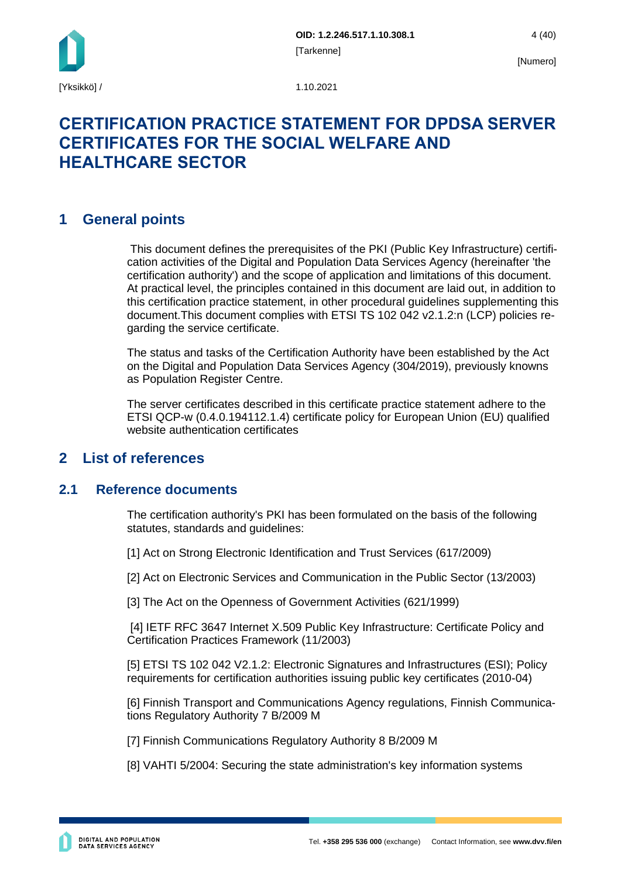

## **CERTIFICATION PRACTICE STATEMENT FOR DPDSA SERVER CERTIFICATES FOR THE SOCIAL WELFARE AND HEALTHCARE SECTOR**

### <span id="page-4-0"></span>**1 General points**

This document defines the prerequisites of the PKI (Public Key Infrastructure) certification activities of the Digital and Population Data Services Agency (hereinafter 'the certification authority') and the scope of application and limitations of this document. At practical level, the principles contained in this document are laid out, in addition to this certification practice statement, in other procedural guidelines supplementing this document.This document complies with ETSI TS 102 042 v2.1.2:n (LCP) policies regarding the service certificate.

The status and tasks of the Certification Authority have been established by the Act on the Digital and Population Data Services Agency (304/2019), previously knowns as Population Register Centre.

The server certificates described in this certificate practice statement adhere to the ETSI QCP-w (0.4.0.194112.1.4) certificate policy for European Union (EU) qualified website authentication certificates

### <span id="page-4-1"></span>**2 List of references**

### <span id="page-4-2"></span>**2.1 Reference documents**

The certification authority's PKI has been formulated on the basis of the following statutes, standards and guidelines:

[1] Act on Strong Electronic Identification and Trust Services (617/2009)

[2] Act on Electronic Services and Communication in the Public Sector (13/2003)

[3] The Act on the Openness of Government Activities (621/1999)

[4] IETF RFC 3647 Internet X.509 Public Key Infrastructure: Certificate Policy and Certification Practices Framework (11/2003)

[5] ETSI TS 102 042 V2.1.2: Electronic Signatures and Infrastructures (ESI); Policy requirements for certification authorities issuing public key certificates (2010-04)

[6] Finnish Transport and Communications Agency regulations, Finnish Communications Regulatory Authority 7 B/2009 M

[7] Finnish Communications Regulatory Authority 8 B/2009 M

[8] VAHTI 5/2004: Securing the state administration's key information systems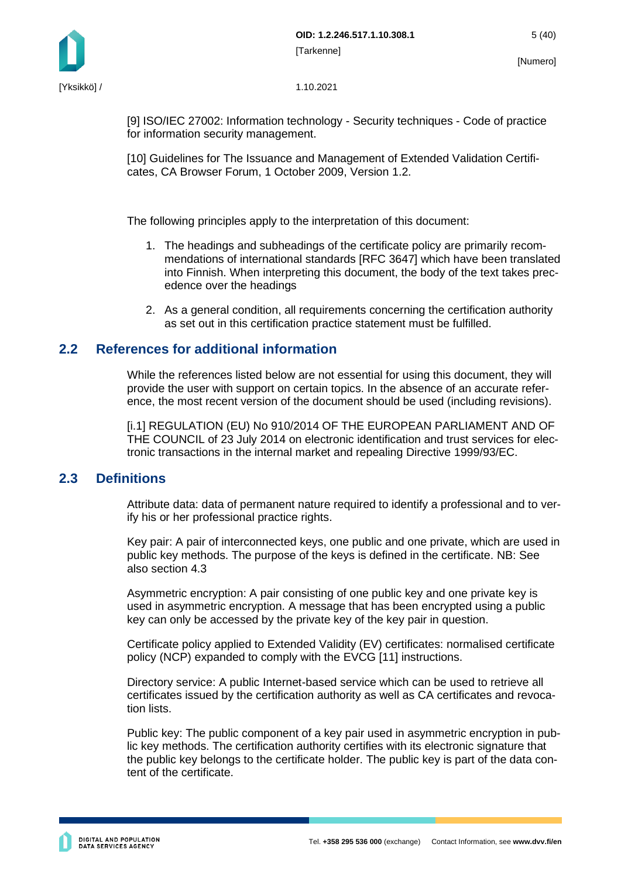

[9] ISO/IEC 27002: Information technology - Security techniques - Code of practice for information security management.

[10] Guidelines for The Issuance and Management of Extended Validation Certificates, CA Browser Forum, 1 October 2009, Version 1.2.

The following principles apply to the interpretation of this document:

- 1. The headings and subheadings of the certificate policy are primarily recommendations of international standards [RFC 3647] which have been translated into Finnish. When interpreting this document, the body of the text takes precedence over the headings
- 2. As a general condition, all requirements concerning the certification authority as set out in this certification practice statement must be fulfilled.

### <span id="page-5-0"></span>**2.2 References for additional information**

While the references listed below are not essential for using this document, they will provide the user with support on certain topics. In the absence of an accurate reference, the most recent version of the document should be used (including revisions).

[i.1] REGULATION (EU) No 910/2014 OF THE EUROPEAN PARLIAMENT AND OF THE COUNCIL of 23 July 2014 on electronic identification and trust services for electronic transactions in the internal market and repealing Directive 1999/93/EC.

### <span id="page-5-1"></span>**2.3 Definitions**

Attribute data: data of permanent nature required to identify a professional and to verify his or her professional practice rights.

Key pair: A pair of interconnected keys, one public and one private, which are used in public key methods. The purpose of the keys is defined in the certificate. NB: See also section 4.3

Asymmetric encryption: A pair consisting of one public key and one private key is used in asymmetric encryption. A message that has been encrypted using a public key can only be accessed by the private key of the key pair in question.

Certificate policy applied to Extended Validity (EV) certificates: normalised certificate policy (NCP) expanded to comply with the EVCG [11] instructions.

Directory service: A public Internet-based service which can be used to retrieve all certificates issued by the certification authority as well as CA certificates and revocation lists.

Public key: The public component of a key pair used in asymmetric encryption in public key methods. The certification authority certifies with its electronic signature that the public key belongs to the certificate holder. The public key is part of the data content of the certificate.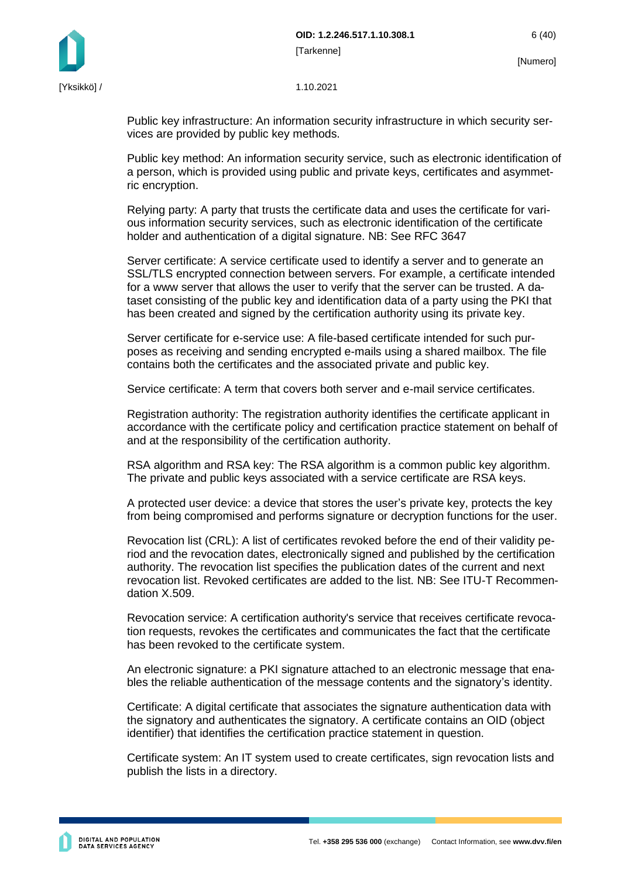



Public key infrastructure: An information security infrastructure in which security services are provided by public key methods.

Public key method: An information security service, such as electronic identification of a person, which is provided using public and private keys, certificates and asymmetric encryption.

Relying party: A party that trusts the certificate data and uses the certificate for various information security services, such as electronic identification of the certificate holder and authentication of a digital signature. NB: See RFC 3647

Server certificate: A service certificate used to identify a server and to generate an SSL/TLS encrypted connection between servers. For example, a certificate intended for a www server that allows the user to verify that the server can be trusted. A dataset consisting of the public key and identification data of a party using the PKI that has been created and signed by the certification authority using its private key.

Server certificate for e-service use: A file-based certificate intended for such purposes as receiving and sending encrypted e-mails using a shared mailbox. The file contains both the certificates and the associated private and public key.

Service certificate: A term that covers both server and e-mail service certificates.

Registration authority: The registration authority identifies the certificate applicant in accordance with the certificate policy and certification practice statement on behalf of and at the responsibility of the certification authority.

RSA algorithm and RSA key: The RSA algorithm is a common public key algorithm. The private and public keys associated with a service certificate are RSA keys.

A protected user device: a device that stores the user's private key, protects the key from being compromised and performs signature or decryption functions for the user.

Revocation list (CRL): A list of certificates revoked before the end of their validity period and the revocation dates, electronically signed and published by the certification authority. The revocation list specifies the publication dates of the current and next revocation list. Revoked certificates are added to the list. NB: See ITU-T Recommendation X.509.

Revocation service: A certification authority's service that receives certificate revocation requests, revokes the certificates and communicates the fact that the certificate has been revoked to the certificate system.

An electronic signature: a PKI signature attached to an electronic message that enables the reliable authentication of the message contents and the signatory's identity.

Certificate: A digital certificate that associates the signature authentication data with the signatory and authenticates the signatory. A certificate contains an OID (object identifier) that identifies the certification practice statement in question.

Certificate system: An IT system used to create certificates, sign revocation lists and publish the lists in a directory.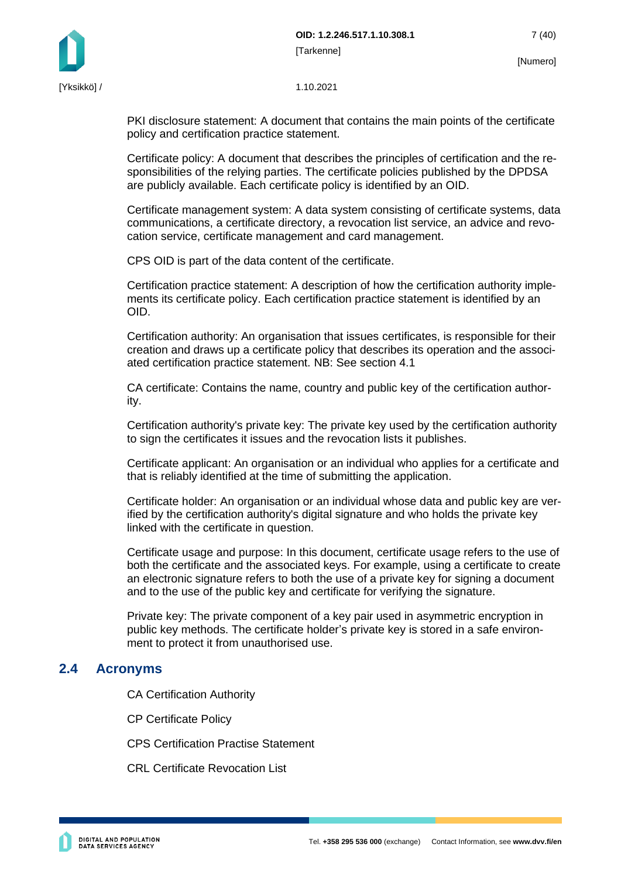



PKI disclosure statement: A document that contains the main points of the certificate policy and certification practice statement.

Certificate policy: A document that describes the principles of certification and the responsibilities of the relying parties. The certificate policies published by the DPDSA are publicly available. Each certificate policy is identified by an OID.

Certificate management system: A data system consisting of certificate systems, data communications, a certificate directory, a revocation list service, an advice and revocation service, certificate management and card management.

CPS OID is part of the data content of the certificate.

Certification practice statement: A description of how the certification authority implements its certificate policy. Each certification practice statement is identified by an OID.

Certification authority: An organisation that issues certificates, is responsible for their creation and draws up a certificate policy that describes its operation and the associated certification practice statement. NB: See section 4.1

CA certificate: Contains the name, country and public key of the certification authority.

Certification authority's private key: The private key used by the certification authority to sign the certificates it issues and the revocation lists it publishes.

Certificate applicant: An organisation or an individual who applies for a certificate and that is reliably identified at the time of submitting the application.

Certificate holder: An organisation or an individual whose data and public key are verified by the certification authority's digital signature and who holds the private key linked with the certificate in question.

Certificate usage and purpose: In this document, certificate usage refers to the use of both the certificate and the associated keys. For example, using a certificate to create an electronic signature refers to both the use of a private key for signing a document and to the use of the public key and certificate for verifying the signature.

Private key: The private component of a key pair used in asymmetric encryption in public key methods. The certificate holder's private key is stored in a safe environment to protect it from unauthorised use.

### <span id="page-7-0"></span>**2.4 Acronyms**

CA Certification Authority

CP Certificate Policy

CPS Certification Practise Statement

CRL Certificate Revocation List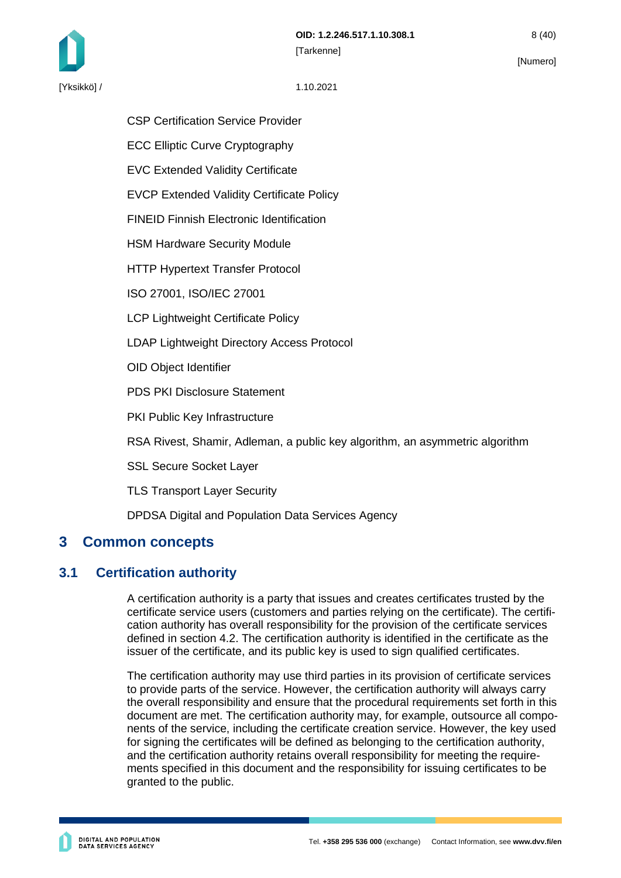

CSP Certification Service Provider

ECC Elliptic Curve Cryptography

EVC Extended Validity Certificate

EVCP Extended Validity Certificate Policy

FINEID Finnish Electronic Identification

HSM Hardware Security Module

HTTP Hypertext Transfer Protocol

ISO 27001, ISO/IEC 27001

LCP Lightweight Certificate Policy

LDAP Lightweight Directory Access Protocol

OID Object Identifier

PDS PKI Disclosure Statement

PKI Public Key Infrastructure

RSA Rivest, Shamir, Adleman, a public key algorithm, an asymmetric algorithm

SSL Secure Socket Layer

TLS Transport Layer Security

DPDSA Digital and Population Data Services Agency

### <span id="page-8-0"></span>**3 Common concepts**

### <span id="page-8-1"></span>**3.1 Certification authority**

A certification authority is a party that issues and creates certificates trusted by the certificate service users (customers and parties relying on the certificate). The certification authority has overall responsibility for the provision of the certificate services defined in section 4.2. The certification authority is identified in the certificate as the issuer of the certificate, and its public key is used to sign qualified certificates.

The certification authority may use third parties in its provision of certificate services to provide parts of the service. However, the certification authority will always carry the overall responsibility and ensure that the procedural requirements set forth in this document are met. The certification authority may, for example, outsource all components of the service, including the certificate creation service. However, the key used for signing the certificates will be defined as belonging to the certification authority, and the certification authority retains overall responsibility for meeting the requirements specified in this document and the responsibility for issuing certificates to be granted to the public.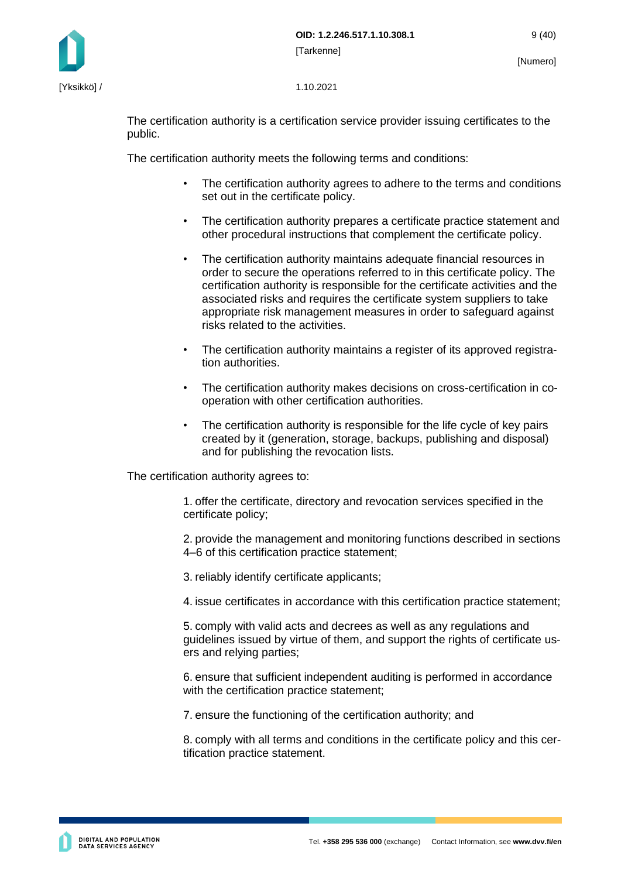

The certification authority is a certification service provider issuing certificates to the public.

The certification authority meets the following terms and conditions:

- The certification authority agrees to adhere to the terms and conditions set out in the certificate policy.
- The certification authority prepares a certificate practice statement and other procedural instructions that complement the certificate policy.
- The certification authority maintains adequate financial resources in order to secure the operations referred to in this certificate policy. The certification authority is responsible for the certificate activities and the associated risks and requires the certificate system suppliers to take appropriate risk management measures in order to safeguard against risks related to the activities.
- The certification authority maintains a register of its approved registration authorities.
- The certification authority makes decisions on cross-certification in cooperation with other certification authorities.
- The certification authority is responsible for the life cycle of key pairs created by it (generation, storage, backups, publishing and disposal) and for publishing the revocation lists.

The certification authority agrees to:

1. offer the certificate, directory and revocation services specified in the certificate policy;

2. provide the management and monitoring functions described in sections 4–6 of this certification practice statement;

3. reliably identify certificate applicants;

4. issue certificates in accordance with this certification practice statement;

5. comply with valid acts and decrees as well as any regulations and guidelines issued by virtue of them, and support the rights of certificate users and relying parties;

6. ensure that sufficient independent auditing is performed in accordance with the certification practice statement:

7. ensure the functioning of the certification authority; and

8. comply with all terms and conditions in the certificate policy and this certification practice statement.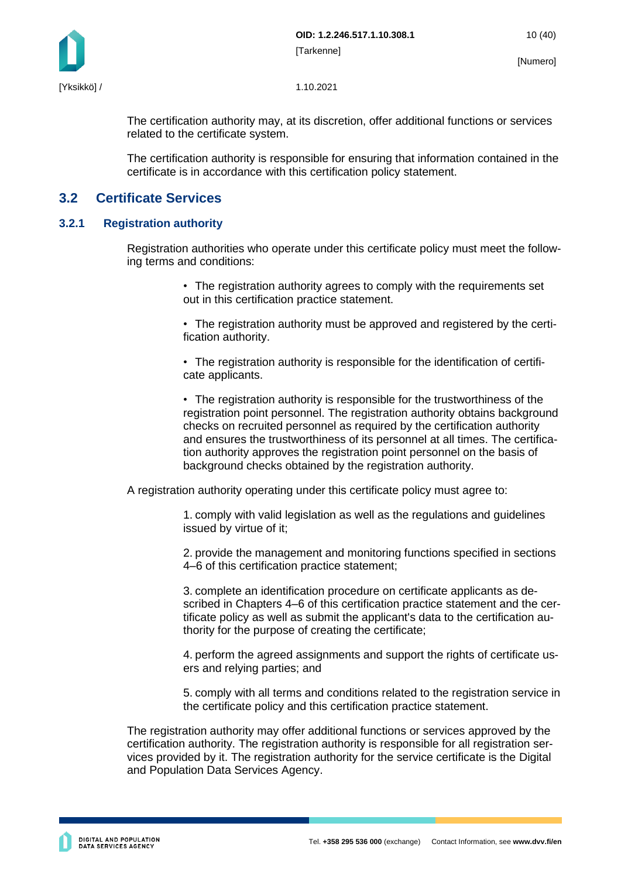

The certification authority may, at its discretion, offer additional functions or services related to the certificate system.

The certification authority is responsible for ensuring that information contained in the certificate is in accordance with this certification policy statement.

### <span id="page-10-0"></span>**3.2 Certificate Services**

#### <span id="page-10-1"></span>**3.2.1 Registration authority**

Registration authorities who operate under this certificate policy must meet the following terms and conditions:

- The registration authority agrees to comply with the requirements set out in this certification practice statement.
- The registration authority must be approved and registered by the certification authority.
- The registration authority is responsible for the identification of certificate applicants.
- The registration authority is responsible for the trustworthiness of the registration point personnel. The registration authority obtains background checks on recruited personnel as required by the certification authority and ensures the trustworthiness of its personnel at all times. The certification authority approves the registration point personnel on the basis of background checks obtained by the registration authority.

A registration authority operating under this certificate policy must agree to:

1. comply with valid legislation as well as the regulations and guidelines issued by virtue of it;

2. provide the management and monitoring functions specified in sections 4–6 of this certification practice statement;

3. complete an identification procedure on certificate applicants as described in Chapters 4–6 of this certification practice statement and the certificate policy as well as submit the applicant's data to the certification authority for the purpose of creating the certificate;

4. perform the agreed assignments and support the rights of certificate users and relying parties; and

5. comply with all terms and conditions related to the registration service in the certificate policy and this certification practice statement.

The registration authority may offer additional functions or services approved by the certification authority. The registration authority is responsible for all registration services provided by it. The registration authority for the service certificate is the Digital and Population Data Services Agency.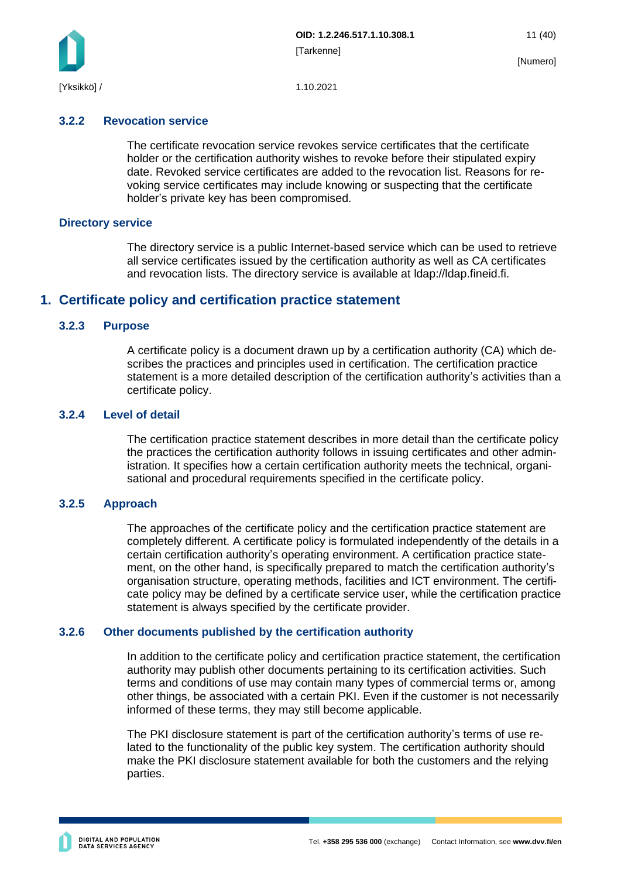

#### <span id="page-11-0"></span>**3.2.2 Revocation service**

The certificate revocation service revokes service certificates that the certificate holder or the certification authority wishes to revoke before their stipulated expiry date. Revoked service certificates are added to the revocation list. Reasons for revoking service certificates may include knowing or suspecting that the certificate holder's private key has been compromised.

#### <span id="page-11-1"></span>**Directory service**

The directory service is a public Internet-based service which can be used to retrieve all service certificates issued by the certification authority as well as CA certificates and revocation lists. The directory service is available at ldap://ldap.fineid.fi.

### <span id="page-11-2"></span>**1. Certificate policy and certification practice statement**

#### <span id="page-11-3"></span>**3.2.3 Purpose**

A certificate policy is a document drawn up by a certification authority (CA) which describes the practices and principles used in certification. The certification practice statement is a more detailed description of the certification authority's activities than a certificate policy.

#### <span id="page-11-4"></span>**3.2.4 Level of detail**

The certification practice statement describes in more detail than the certificate policy the practices the certification authority follows in issuing certificates and other administration. It specifies how a certain certification authority meets the technical, organisational and procedural requirements specified in the certificate policy.

#### <span id="page-11-5"></span>**3.2.5 Approach**

The approaches of the certificate policy and the certification practice statement are completely different. A certificate policy is formulated independently of the details in a certain certification authority's operating environment. A certification practice statement, on the other hand, is specifically prepared to match the certification authority's organisation structure, operating methods, facilities and ICT environment. The certificate policy may be defined by a certificate service user, while the certification practice statement is always specified by the certificate provider.

#### <span id="page-11-6"></span>**3.2.6 Other documents published by the certification authority**

In addition to the certificate policy and certification practice statement, the certification authority may publish other documents pertaining to its certification activities. Such terms and conditions of use may contain many types of commercial terms or, among other things, be associated with a certain PKI. Even if the customer is not necessarily informed of these terms, they may still become applicable.

The PKI disclosure statement is part of the certification authority's terms of use related to the functionality of the public key system. The certification authority should make the PKI disclosure statement available for both the customers and the relying parties.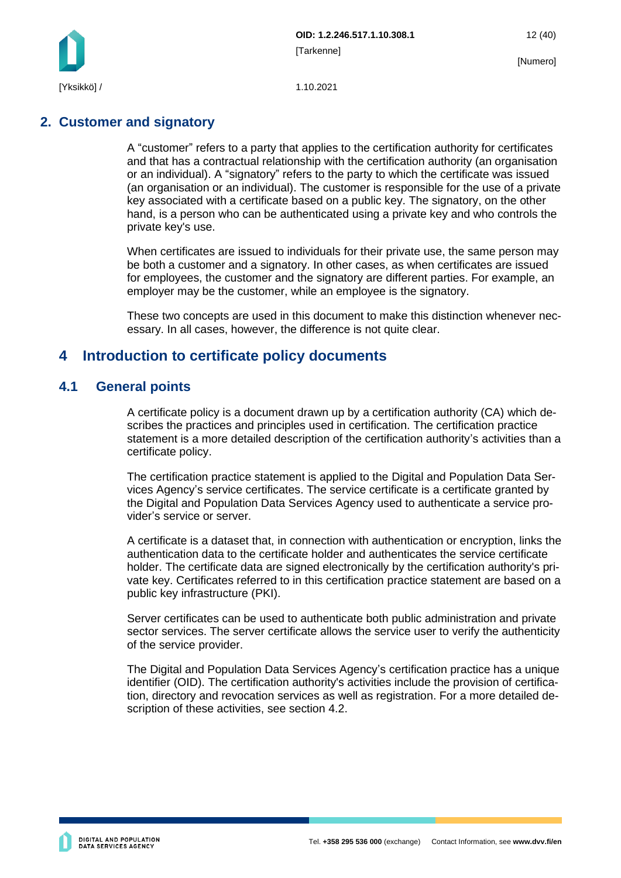

### <span id="page-12-0"></span>**2. Customer and signatory**

A "customer" refers to a party that applies to the certification authority for certificates and that has a contractual relationship with the certification authority (an organisation or an individual). A "signatory" refers to the party to which the certificate was issued (an organisation or an individual). The customer is responsible for the use of a private key associated with a certificate based on a public key. The signatory, on the other hand, is a person who can be authenticated using a private key and who controls the private key's use.

When certificates are issued to individuals for their private use, the same person may be both a customer and a signatory. In other cases, as when certificates are issued for employees, the customer and the signatory are different parties. For example, an employer may be the customer, while an employee is the signatory.

These two concepts are used in this document to make this distinction whenever necessary. In all cases, however, the difference is not quite clear.

### <span id="page-12-1"></span>**4 Introduction to certificate policy documents**

### <span id="page-12-2"></span>**4.1 General points**

A certificate policy is a document drawn up by a certification authority (CA) which describes the practices and principles used in certification. The certification practice statement is a more detailed description of the certification authority's activities than a certificate policy.

The certification practice statement is applied to the Digital and Population Data Services Agency's service certificates. The service certificate is a certificate granted by the Digital and Population Data Services Agency used to authenticate a service provider's service or server.

A certificate is a dataset that, in connection with authentication or encryption, links the authentication data to the certificate holder and authenticates the service certificate holder. The certificate data are signed electronically by the certification authority's private key. Certificates referred to in this certification practice statement are based on a public key infrastructure (PKI).

Server certificates can be used to authenticate both public administration and private sector services. The server certificate allows the service user to verify the authenticity of the service provider.

The Digital and Population Data Services Agency's certification practice has a unique identifier (OID). The certification authority's activities include the provision of certification, directory and revocation services as well as registration. For a more detailed description of these activities, see section 4.2.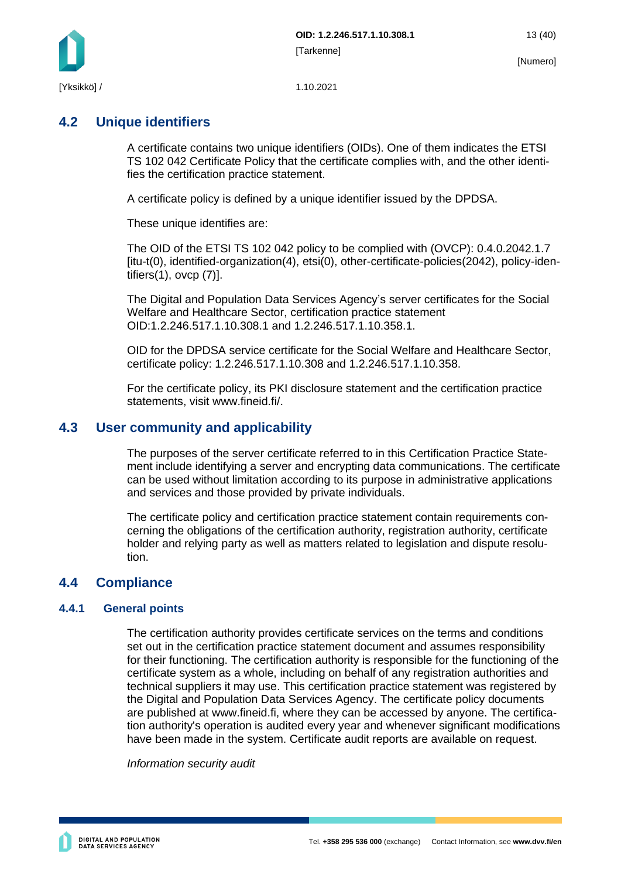

### <span id="page-13-0"></span>**4.2 Unique identifiers**

A certificate contains two unique identifiers (OIDs). One of them indicates the ETSI TS 102 042 Certificate Policy that the certificate complies with, and the other identifies the certification practice statement.

A certificate policy is defined by a unique identifier issued by the DPDSA.

These unique identifies are:

The OID of the ETSI TS 102 042 policy to be complied with (OVCP): 0.4.0.2042.1.7 [itu-t(0), identified-organization(4), etsi(0), other-certificate-policies(2042), policy-identifiers(1), ovcp (7)].

The Digital and Population Data Services Agency's server certificates for the Social Welfare and Healthcare Sector, certification practice statement OID:1.2.246.517.1.10.308.1 and 1.2.246.517.1.10.358.1.

OID for the DPDSA service certificate for the Social Welfare and Healthcare Sector, certificate policy: 1.2.246.517.1.10.308 and 1.2.246.517.1.10.358.

For the certificate policy, its PKI disclosure statement and the certification practice statements, visit www.fineid.fi/.

### <span id="page-13-1"></span>**4.3 User community and applicability**

The purposes of the server certificate referred to in this Certification Practice Statement include identifying a server and encrypting data communications. The certificate can be used without limitation according to its purpose in administrative applications and services and those provided by private individuals.

The certificate policy and certification practice statement contain requirements concerning the obligations of the certification authority, registration authority, certificate holder and relying party as well as matters related to legislation and dispute resolution.

### <span id="page-13-2"></span>**4.4 Compliance**

#### <span id="page-13-3"></span>**4.4.1 General points**

The certification authority provides certificate services on the terms and conditions set out in the certification practice statement document and assumes responsibility for their functioning. The certification authority is responsible for the functioning of the certificate system as a whole, including on behalf of any registration authorities and technical suppliers it may use. This certification practice statement was registered by the Digital and Population Data Services Agency. The certificate policy documents are published at www.fineid.fi, where they can be accessed by anyone. The certification authority's operation is audited every year and whenever significant modifications have been made in the system. Certificate audit reports are available on request.

*Information security audit*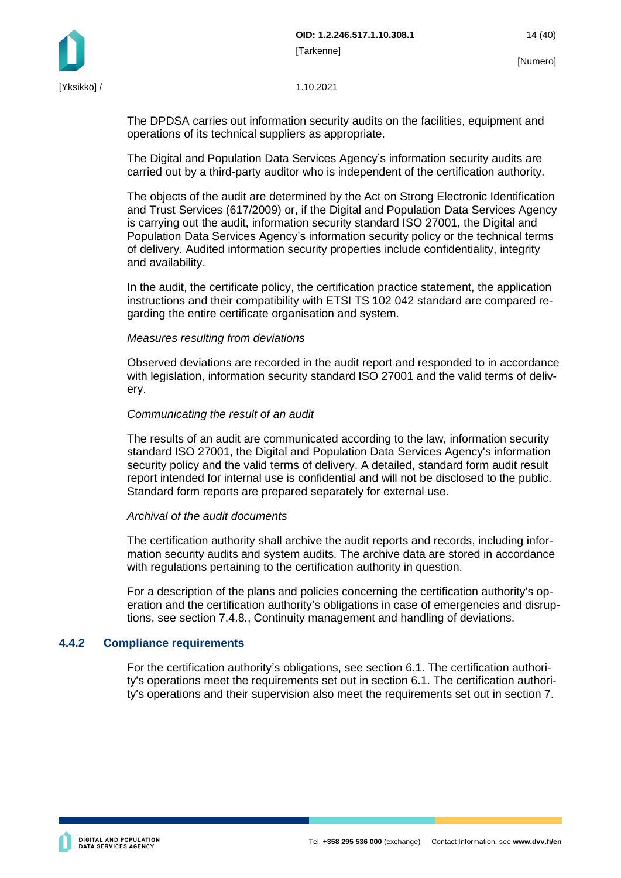



The DPDSA carries out information security audits on the facilities, equipment and operations of its technical suppliers as appropriate.

The Digital and Population Data Services Agency's information security audits are carried out by a third-party auditor who is independent of the certification authority.

The objects of the audit are determined by the Act on Strong Electronic Identification and Trust Services (617/2009) or, if the Digital and Population Data Services Agency is carrying out the audit, information security standard ISO 27001, the Digital and Population Data Services Agency's information security policy or the technical terms of delivery. Audited information security properties include confidentiality, integrity and availability.

In the audit, the certificate policy, the certification practice statement, the application instructions and their compatibility with ETSI TS 102 042 standard are compared regarding the entire certificate organisation and system.

#### *Measures resulting from deviations*

Observed deviations are recorded in the audit report and responded to in accordance with legislation, information security standard ISO 27001 and the valid terms of delivery.

#### *Communicating the result of an audit*

The results of an audit are communicated according to the law, information security standard ISO 27001, the Digital and Population Data Services Agency's information security policy and the valid terms of delivery. A detailed, standard form audit result report intended for internal use is confidential and will not be disclosed to the public. Standard form reports are prepared separately for external use.

#### *Archival of the audit documents*

The certification authority shall archive the audit reports and records, including information security audits and system audits. The archive data are stored in accordance with regulations pertaining to the certification authority in question.

For a description of the plans and policies concerning the certification authority's operation and the certification authority's obligations in case of emergencies and disruptions, see section 7.4.8., Continuity management and handling of deviations.

#### <span id="page-14-0"></span>**4.4.2 Compliance requirements**

For the certification authority's obligations, see section 6.1. The certification authority's operations meet the requirements set out in section 6.1. The certification authority's operations and their supervision also meet the requirements set out in section 7.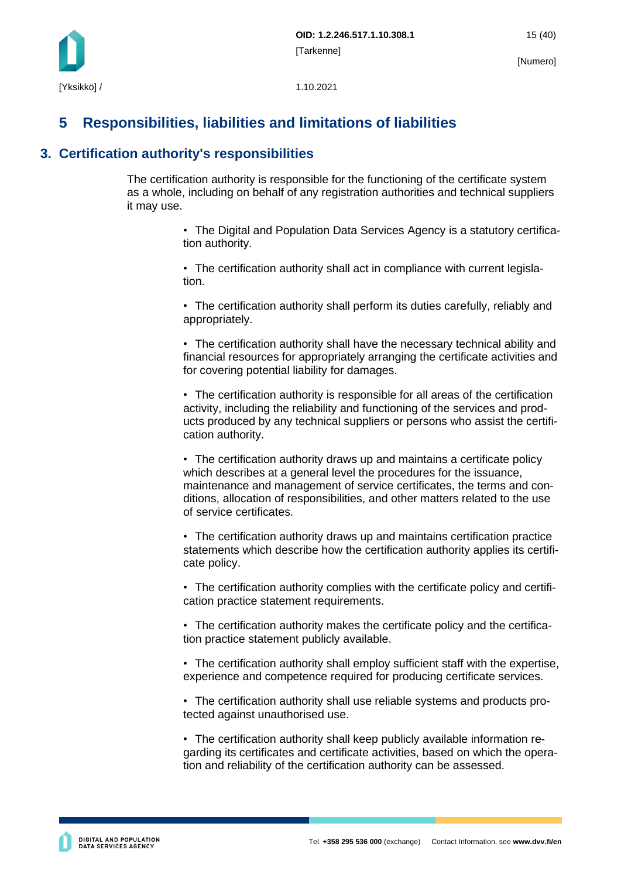## <span id="page-15-0"></span>**5 Responsibilities, liabilities and limitations of liabilities**

### <span id="page-15-1"></span>**3. Certification authority's responsibilities**

The certification authority is responsible for the functioning of the certificate system as a whole, including on behalf of any registration authorities and technical suppliers it may use.

> • The Digital and Population Data Services Agency is a statutory certification authority.

• The certification authority shall act in compliance with current legislation.

• The certification authority shall perform its duties carefully, reliably and appropriately.

• The certification authority shall have the necessary technical ability and financial resources for appropriately arranging the certificate activities and for covering potential liability for damages.

• The certification authority is responsible for all areas of the certification activity, including the reliability and functioning of the services and products produced by any technical suppliers or persons who assist the certification authority.

• The certification authority draws up and maintains a certificate policy which describes at a general level the procedures for the issuance, maintenance and management of service certificates, the terms and conditions, allocation of responsibilities, and other matters related to the use of service certificates.

• The certification authority draws up and maintains certification practice statements which describe how the certification authority applies its certificate policy.

• The certification authority complies with the certificate policy and certification practice statement requirements.

• The certification authority makes the certificate policy and the certification practice statement publicly available.

• The certification authority shall employ sufficient staff with the expertise, experience and competence required for producing certificate services.

• The certification authority shall use reliable systems and products protected against unauthorised use.

• The certification authority shall keep publicly available information regarding its certificates and certificate activities, based on which the operation and reliability of the certification authority can be assessed.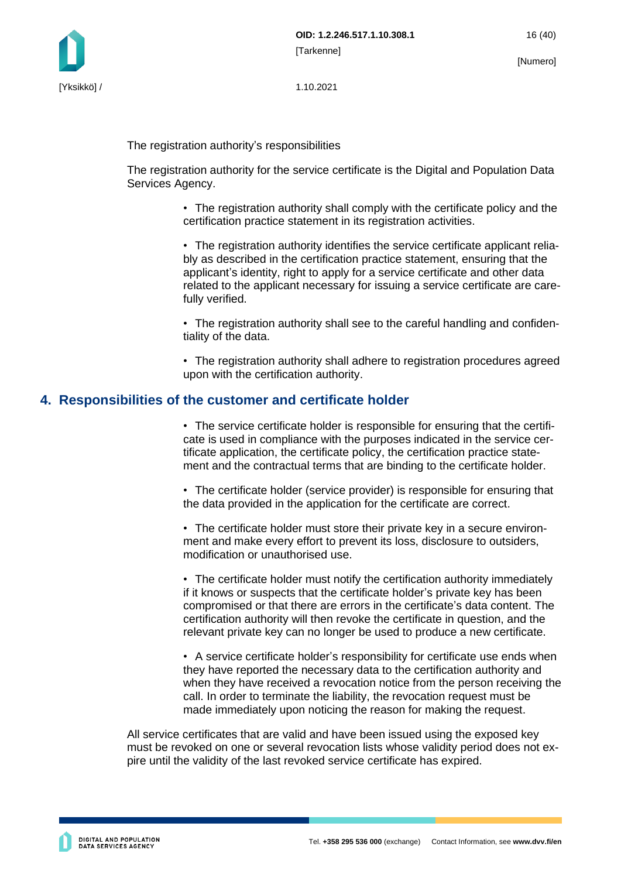

The registration authority's responsibilities

The registration authority for the service certificate is the Digital and Population Data Services Agency.

> • The registration authority shall comply with the certificate policy and the certification practice statement in its registration activities.

> • The registration authority identifies the service certificate applicant reliably as described in the certification practice statement, ensuring that the applicant's identity, right to apply for a service certificate and other data related to the applicant necessary for issuing a service certificate are carefully verified.

> • The registration authority shall see to the careful handling and confidentiality of the data.

> • The registration authority shall adhere to registration procedures agreed upon with the certification authority.

#### <span id="page-16-0"></span>**4. Responsibilities of the customer and certificate holder**

• The service certificate holder is responsible for ensuring that the certificate is used in compliance with the purposes indicated in the service certificate application, the certificate policy, the certification practice statement and the contractual terms that are binding to the certificate holder.

• The certificate holder (service provider) is responsible for ensuring that the data provided in the application for the certificate are correct.

• The certificate holder must store their private key in a secure environment and make every effort to prevent its loss, disclosure to outsiders, modification or unauthorised use.

• The certificate holder must notify the certification authority immediately if it knows or suspects that the certificate holder's private key has been compromised or that there are errors in the certificate's data content. The certification authority will then revoke the certificate in question, and the relevant private key can no longer be used to produce a new certificate.

• A service certificate holder's responsibility for certificate use ends when they have reported the necessary data to the certification authority and when they have received a revocation notice from the person receiving the call. In order to terminate the liability, the revocation request must be made immediately upon noticing the reason for making the request.

All service certificates that are valid and have been issued using the exposed key must be revoked on one or several revocation lists whose validity period does not expire until the validity of the last revoked service certificate has expired.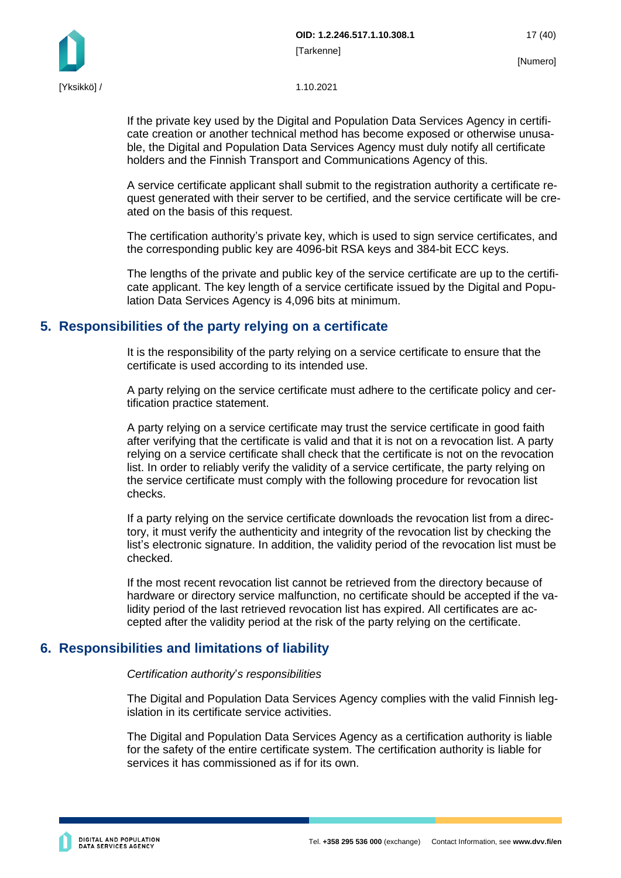

If the private key used by the Digital and Population Data Services Agency in certificate creation or another technical method has become exposed or otherwise unusable, the Digital and Population Data Services Agency must duly notify all certificate holders and the Finnish Transport and Communications Agency of this.

A service certificate applicant shall submit to the registration authority a certificate request generated with their server to be certified, and the service certificate will be created on the basis of this request.

The certification authority's private key, which is used to sign service certificates, and the corresponding public key are 4096-bit RSA keys and 384-bit ECC keys.

The lengths of the private and public key of the service certificate are up to the certificate applicant. The key length of a service certificate issued by the Digital and Population Data Services Agency is 4,096 bits at minimum.

#### <span id="page-17-0"></span>**5. Responsibilities of the party relying on a certificate**

It is the responsibility of the party relying on a service certificate to ensure that the certificate is used according to its intended use.

A party relying on the service certificate must adhere to the certificate policy and certification practice statement.

A party relying on a service certificate may trust the service certificate in good faith after verifying that the certificate is valid and that it is not on a revocation list. A party relying on a service certificate shall check that the certificate is not on the revocation list. In order to reliably verify the validity of a service certificate, the party relying on the service certificate must comply with the following procedure for revocation list checks.

If a party relying on the service certificate downloads the revocation list from a directory, it must verify the authenticity and integrity of the revocation list by checking the list's electronic signature. In addition, the validity period of the revocation list must be checked.

If the most recent revocation list cannot be retrieved from the directory because of hardware or directory service malfunction, no certificate should be accepted if the validity period of the last retrieved revocation list has expired. All certificates are accepted after the validity period at the risk of the party relying on the certificate.

### <span id="page-17-1"></span>**6. Responsibilities and limitations of liability**

#### *Certification authority*'*s responsibilities*

The Digital and Population Data Services Agency complies with the valid Finnish legislation in its certificate service activities.

The Digital and Population Data Services Agency as a certification authority is liable for the safety of the entire certificate system. The certification authority is liable for services it has commissioned as if for its own.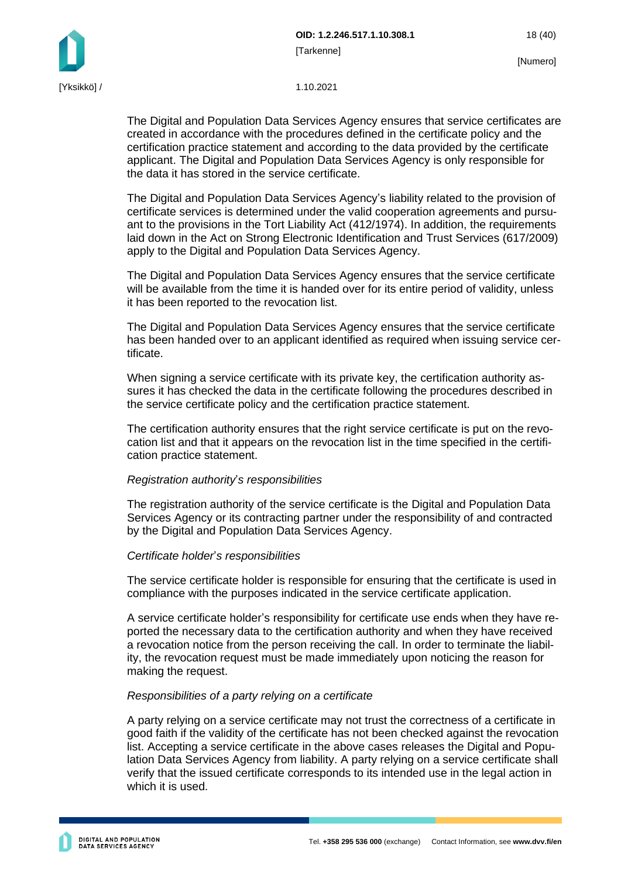**OID: 1.2.246.517.1.10.308.1** 18 (40) [Tarkenne]

The Digital and Population Data Services Agency ensures that service certificates are created in accordance with the procedures defined in the certificate policy and the certification practice statement and according to the data provided by the certificate applicant. The Digital and Population Data Services Agency is only responsible for the data it has stored in the service certificate.

The Digital and Population Data Services Agency's liability related to the provision of certificate services is determined under the valid cooperation agreements and pursuant to the provisions in the Tort Liability Act (412/1974). In addition, the requirements laid down in the Act on Strong Electronic Identification and Trust Services (617/2009) apply to the Digital and Population Data Services Agency.

The Digital and Population Data Services Agency ensures that the service certificate will be available from the time it is handed over for its entire period of validity, unless it has been reported to the revocation list.

The Digital and Population Data Services Agency ensures that the service certificate has been handed over to an applicant identified as required when issuing service certificate.

When signing a service certificate with its private key, the certification authority assures it has checked the data in the certificate following the procedures described in the service certificate policy and the certification practice statement.

The certification authority ensures that the right service certificate is put on the revocation list and that it appears on the revocation list in the time specified in the certification practice statement.

#### *Registration authority*'*s responsibilities*

The registration authority of the service certificate is the Digital and Population Data Services Agency or its contracting partner under the responsibility of and contracted by the Digital and Population Data Services Agency.

#### *Certificate holder*'*s responsibilities*

The service certificate holder is responsible for ensuring that the certificate is used in compliance with the purposes indicated in the service certificate application.

A service certificate holder's responsibility for certificate use ends when they have reported the necessary data to the certification authority and when they have received a revocation notice from the person receiving the call. In order to terminate the liability, the revocation request must be made immediately upon noticing the reason for making the request.

#### *Responsibilities of a party relying on a certificate*

A party relying on a service certificate may not trust the correctness of a certificate in good faith if the validity of the certificate has not been checked against the revocation list. Accepting a service certificate in the above cases releases the Digital and Population Data Services Agency from liability. A party relying on a service certificate shall verify that the issued certificate corresponds to its intended use in the legal action in which it is used.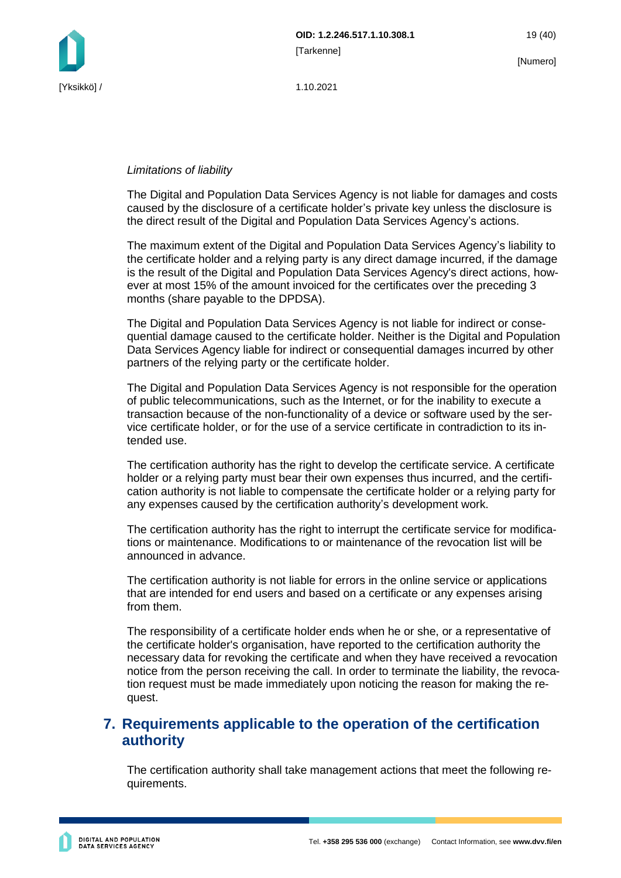

#### *Limitations of liability*

The Digital and Population Data Services Agency is not liable for damages and costs caused by the disclosure of a certificate holder's private key unless the disclosure is the direct result of the Digital and Population Data Services Agency's actions.

The maximum extent of the Digital and Population Data Services Agency's liability to the certificate holder and a relying party is any direct damage incurred, if the damage is the result of the Digital and Population Data Services Agency's direct actions, however at most 15% of the amount invoiced for the certificates over the preceding 3 months (share payable to the DPDSA).

The Digital and Population Data Services Agency is not liable for indirect or consequential damage caused to the certificate holder. Neither is the Digital and Population Data Services Agency liable for indirect or consequential damages incurred by other partners of the relying party or the certificate holder.

The Digital and Population Data Services Agency is not responsible for the operation of public telecommunications, such as the Internet, or for the inability to execute a transaction because of the non-functionality of a device or software used by the service certificate holder, or for the use of a service certificate in contradiction to its intended use.

The certification authority has the right to develop the certificate service. A certificate holder or a relying party must bear their own expenses thus incurred, and the certification authority is not liable to compensate the certificate holder or a relying party for any expenses caused by the certification authority's development work.

The certification authority has the right to interrupt the certificate service for modifications or maintenance. Modifications to or maintenance of the revocation list will be announced in advance.

The certification authority is not liable for errors in the online service or applications that are intended for end users and based on a certificate or any expenses arising from them.

The responsibility of a certificate holder ends when he or she, or a representative of the certificate holder's organisation, have reported to the certification authority the necessary data for revoking the certificate and when they have received a revocation notice from the person receiving the call. In order to terminate the liability, the revocation request must be made immediately upon noticing the reason for making the request.

### <span id="page-19-0"></span>**7. Requirements applicable to the operation of the certification authority**

The certification authority shall take management actions that meet the following requirements.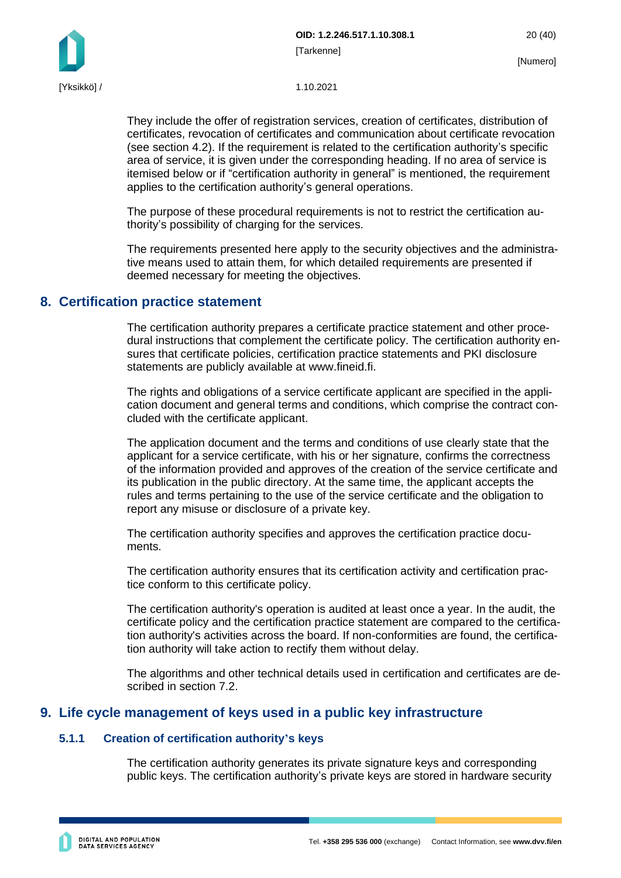

They include the offer of registration services, creation of certificates, distribution of certificates, revocation of certificates and communication about certificate revocation (see section 4.2). If the requirement is related to the certification authority's specific area of service, it is given under the corresponding heading. If no area of service is itemised below or if "certification authority in general" is mentioned, the requirement applies to the certification authority's general operations.

The purpose of these procedural requirements is not to restrict the certification authority's possibility of charging for the services.

The requirements presented here apply to the security objectives and the administrative means used to attain them, for which detailed requirements are presented if deemed necessary for meeting the objectives.

#### <span id="page-20-0"></span>**8. Certification practice statement**

The certification authority prepares a certificate practice statement and other procedural instructions that complement the certificate policy. The certification authority ensures that certificate policies, certification practice statements and PKI disclosure statements are publicly available at www.fineid.fi.

The rights and obligations of a service certificate applicant are specified in the application document and general terms and conditions, which comprise the contract concluded with the certificate applicant.

The application document and the terms and conditions of use clearly state that the applicant for a service certificate, with his or her signature, confirms the correctness of the information provided and approves of the creation of the service certificate and its publication in the public directory. At the same time, the applicant accepts the rules and terms pertaining to the use of the service certificate and the obligation to report any misuse or disclosure of a private key.

The certification authority specifies and approves the certification practice documents.

The certification authority ensures that its certification activity and certification practice conform to this certificate policy.

The certification authority's operation is audited at least once a year. In the audit, the certificate policy and the certification practice statement are compared to the certification authority's activities across the board. If non-conformities are found, the certification authority will take action to rectify them without delay.

The algorithms and other technical details used in certification and certificates are described in section 7.2.

### <span id="page-20-1"></span>**9. Life cycle management of keys used in a public key infrastructure**

#### <span id="page-20-2"></span>**5.1.1 Creation of certification authority's keys**

The certification authority generates its private signature keys and corresponding public keys. The certification authority's private keys are stored in hardware security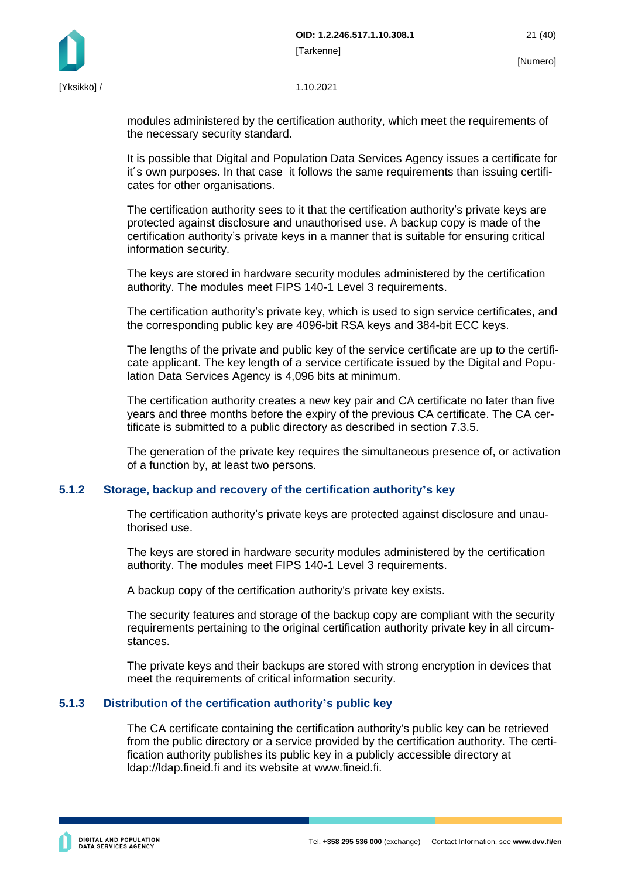

modules administered by the certification authority, which meet the requirements of the necessary security standard.

It is possible that Digital and Population Data Services Agency issues a certificate for it´s own purposes. In that case it follows the same requirements than issuing certificates for other organisations.

The certification authority sees to it that the certification authority's private keys are protected against disclosure and unauthorised use. A backup copy is made of the certification authority's private keys in a manner that is suitable for ensuring critical information security.

The keys are stored in hardware security modules administered by the certification authority. The modules meet FIPS 140-1 Level 3 requirements.

The certification authority's private key, which is used to sign service certificates, and the corresponding public key are 4096-bit RSA keys and 384-bit ECC keys.

The lengths of the private and public key of the service certificate are up to the certificate applicant. The key length of a service certificate issued by the Digital and Population Data Services Agency is 4,096 bits at minimum.

The certification authority creates a new key pair and CA certificate no later than five years and three months before the expiry of the previous CA certificate. The CA certificate is submitted to a public directory as described in section 7.3.5.

The generation of the private key requires the simultaneous presence of, or activation of a function by, at least two persons.

#### <span id="page-21-0"></span>**5.1.2 Storage, backup and recovery of the certification authority's key**

The certification authority's private keys are protected against disclosure and unauthorised use.

The keys are stored in hardware security modules administered by the certification authority. The modules meet FIPS 140-1 Level 3 requirements.

A backup copy of the certification authority's private key exists.

The security features and storage of the backup copy are compliant with the security requirements pertaining to the original certification authority private key in all circumstances.

The private keys and their backups are stored with strong encryption in devices that meet the requirements of critical information security.

#### <span id="page-21-1"></span>**5.1.3 Distribution of the certification authority's public key**

The CA certificate containing the certification authority's public key can be retrieved from the public directory or a service provided by the certification authority. The certification authority publishes its public key in a publicly accessible directory at ldap://ldap.fineid.fi and its website at www.fineid.fi.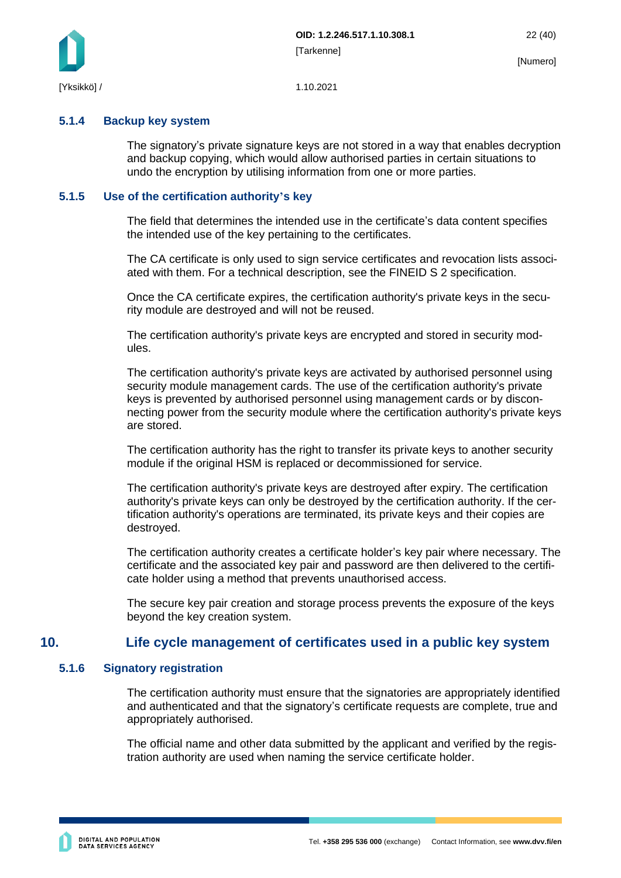

#### <span id="page-22-0"></span>**5.1.4 Backup key system**

The signatory's private signature keys are not stored in a way that enables decryption and backup copying, which would allow authorised parties in certain situations to undo the encryption by utilising information from one or more parties.

#### <span id="page-22-1"></span>**5.1.5 Use of the certification authority's key**

The field that determines the intended use in the certificate's data content specifies the intended use of the key pertaining to the certificates.

The CA certificate is only used to sign service certificates and revocation lists associated with them. For a technical description, see the FINEID S 2 specification.

Once the CA certificate expires, the certification authority's private keys in the security module are destroyed and will not be reused.

The certification authority's private keys are encrypted and stored in security modules.

The certification authority's private keys are activated by authorised personnel using security module management cards. The use of the certification authority's private keys is prevented by authorised personnel using management cards or by disconnecting power from the security module where the certification authority's private keys are stored.

The certification authority has the right to transfer its private keys to another security module if the original HSM is replaced or decommissioned for service.

The certification authority's private keys are destroyed after expiry. The certification authority's private keys can only be destroyed by the certification authority. If the certification authority's operations are terminated, its private keys and their copies are destroyed.

The certification authority creates a certificate holder's key pair where necessary. The certificate and the associated key pair and password are then delivered to the certificate holder using a method that prevents unauthorised access.

<span id="page-22-2"></span>The secure key pair creation and storage process prevents the exposure of the keys beyond the key creation system.

### **10. Life cycle management of certificates used in a public key system**

#### <span id="page-22-3"></span>**5.1.6 Signatory registration**

The certification authority must ensure that the signatories are appropriately identified and authenticated and that the signatory's certificate requests are complete, true and appropriately authorised.

The official name and other data submitted by the applicant and verified by the registration authority are used when naming the service certificate holder.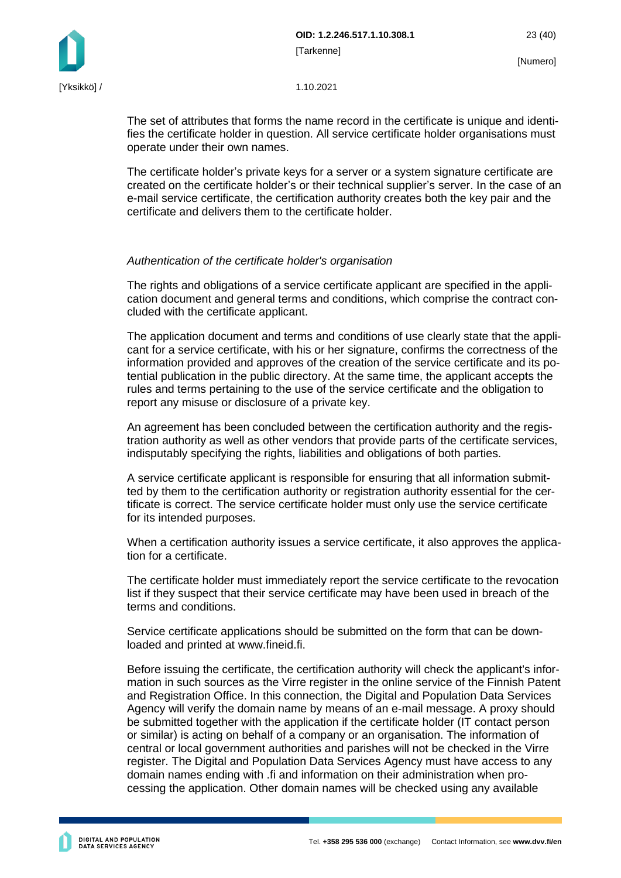The set of attributes that forms the name record in the certificate is unique and identifies the certificate holder in question. All service certificate holder organisations must operate under their own names.

The certificate holder's private keys for a server or a system signature certificate are created on the certificate holder's or their technical supplier's server. In the case of an e-mail service certificate, the certification authority creates both the key pair and the certificate and delivers them to the certificate holder.

#### *Authentication of the certificate holder's organisation*

The rights and obligations of a service certificate applicant are specified in the application document and general terms and conditions, which comprise the contract concluded with the certificate applicant.

The application document and terms and conditions of use clearly state that the applicant for a service certificate, with his or her signature, confirms the correctness of the information provided and approves of the creation of the service certificate and its potential publication in the public directory. At the same time, the applicant accepts the rules and terms pertaining to the use of the service certificate and the obligation to report any misuse or disclosure of a private key.

An agreement has been concluded between the certification authority and the registration authority as well as other vendors that provide parts of the certificate services, indisputably specifying the rights, liabilities and obligations of both parties.

A service certificate applicant is responsible for ensuring that all information submitted by them to the certification authority or registration authority essential for the certificate is correct. The service certificate holder must only use the service certificate for its intended purposes.

When a certification authority issues a service certificate, it also approves the application for a certificate.

The certificate holder must immediately report the service certificate to the revocation list if they suspect that their service certificate may have been used in breach of the terms and conditions.

Service certificate applications should be submitted on the form that can be downloaded and printed at www.fineid.fi.

Before issuing the certificate, the certification authority will check the applicant's information in such sources as the Virre register in the online service of the Finnish Patent and Registration Office. In this connection, the Digital and Population Data Services Agency will verify the domain name by means of an e-mail message. A proxy should be submitted together with the application if the certificate holder (IT contact person or similar) is acting on behalf of a company or an organisation. The information of central or local government authorities and parishes will not be checked in the Virre register. The Digital and Population Data Services Agency must have access to any domain names ending with .fi and information on their administration when processing the application. Other domain names will be checked using any available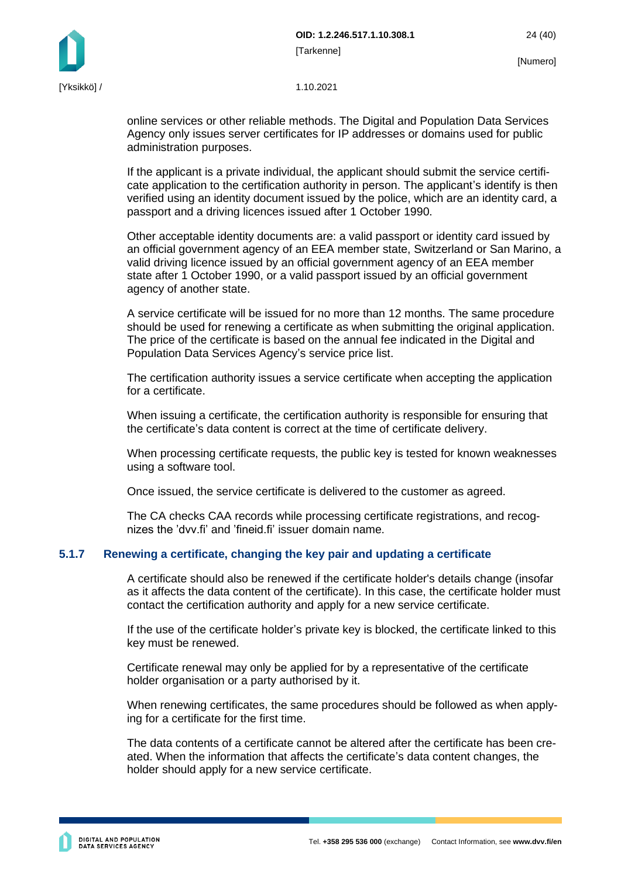online services or other reliable methods. The Digital and Population Data Services Agency only issues server certificates for IP addresses or domains used for public administration purposes.

If the applicant is a private individual, the applicant should submit the service certificate application to the certification authority in person. The applicant's identify is then verified using an identity document issued by the police, which are an identity card, a passport and a driving licences issued after 1 October 1990.

Other acceptable identity documents are: a valid passport or identity card issued by an official government agency of an EEA member state, Switzerland or San Marino, a valid driving licence issued by an official government agency of an EEA member state after 1 October 1990, or a valid passport issued by an official government agency of another state.

A service certificate will be issued for no more than 12 months. The same procedure should be used for renewing a certificate as when submitting the original application. The price of the certificate is based on the annual fee indicated in the Digital and Population Data Services Agency's service price list.

The certification authority issues a service certificate when accepting the application for a certificate.

When issuing a certificate, the certification authority is responsible for ensuring that the certificate's data content is correct at the time of certificate delivery.

When processing certificate requests, the public key is tested for known weaknesses using a software tool.

Once issued, the service certificate is delivered to the customer as agreed.

The CA checks CAA records while processing certificate registrations, and recognizes the 'dvv.fi' and 'fineid.fi' issuer domain name.

### <span id="page-24-0"></span>**5.1.7 Renewing a certificate, changing the key pair and updating a certificate**

A certificate should also be renewed if the certificate holder's details change (insofar as it affects the data content of the certificate). In this case, the certificate holder must contact the certification authority and apply for a new service certificate.

If the use of the certificate holder's private key is blocked, the certificate linked to this key must be renewed.

Certificate renewal may only be applied for by a representative of the certificate holder organisation or a party authorised by it.

When renewing certificates, the same procedures should be followed as when applying for a certificate for the first time.

The data contents of a certificate cannot be altered after the certificate has been created. When the information that affects the certificate's data content changes, the holder should apply for a new service certificate.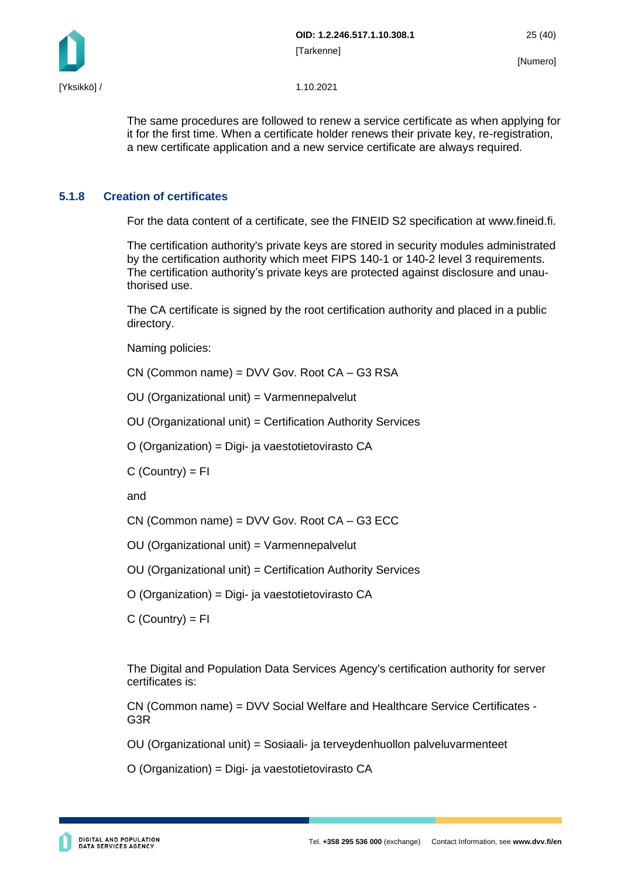

The same procedures are followed to renew a service certificate as when applying for it for the first time. When a certificate holder renews their private key, re-registration, a new certificate application and a new service certificate are always required.

#### <span id="page-25-0"></span>**5.1.8 Creation of certificates**

For the data content of a certificate, see the FINEID S2 specification at www.fineid.fi.

The certification authority's private keys are stored in security modules administrated by the certification authority which meet FIPS 140-1 or 140-2 level 3 requirements. The certification authority's private keys are protected against disclosure and unauthorised use.

The CA certificate is signed by the root certification authority and placed in a public directory.

Naming policies:

CN (Common name) = DVV Gov. Root CA – G3 RSA

OU (Organizational unit) = Varmennepalvelut

OU (Organizational unit) = Certification Authority Services

O (Organization) = Digi- ja vaestotietovirasto CA

 $C$  (Country) =  $FI$ 

and

CN (Common name) = DVV Gov. Root CA – G3 ECC

OU (Organizational unit) = Varmennepalvelut

OU (Organizational unit) = Certification Authority Services

O (Organization) = Digi- ja vaestotietovirasto CA

 $C$  (Country) =  $FI$ 

The Digital and Population Data Services Agency's certification authority for server certificates is:

CN (Common name) = DVV Social Welfare and Healthcare Service Certificates - G3R

OU (Organizational unit) = Sosiaali- ja terveydenhuollon palveluvarmenteet

O (Organization) = Digi- ja vaestotietovirasto CA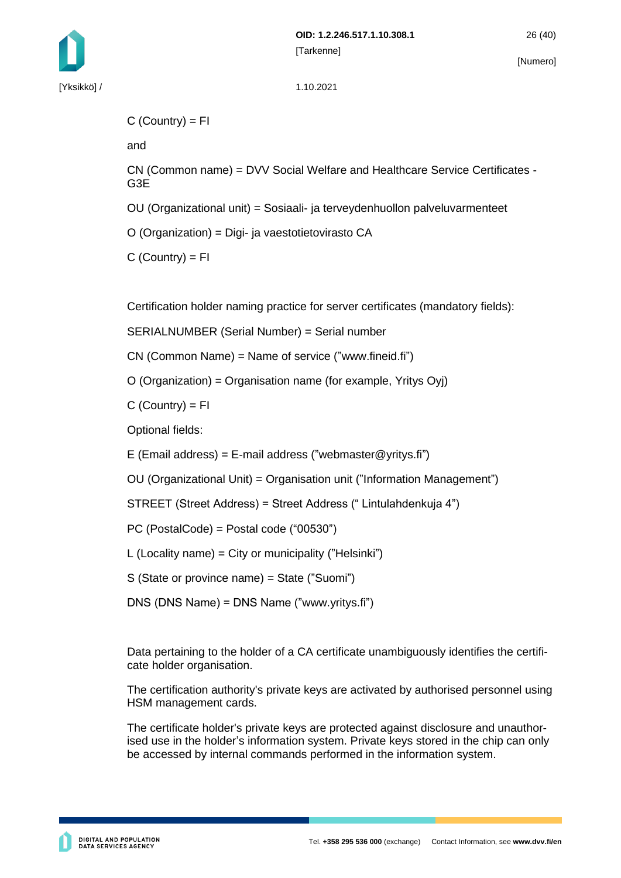

```
C (Country) = FI
```
and

CN (Common name) = DVV Social Welfare and Healthcare Service Certificates - G3E

OU (Organizational unit) = Sosiaali- ja terveydenhuollon palveluvarmenteet

O (Organization) = Digi- ja vaestotietovirasto CA

 $C$  (Country) = FI

Certification holder naming practice for server certificates (mandatory fields):

SERIALNUMBER (Serial Number) = Serial number

CN (Common Name) = Name of service ("www.fineid.fi")

O (Organization) = Organisation name (for example, Yritys Oyj)

 $C$  (Country) = FI

Optional fields:

E (Email address) = E-mail address ("webmaster@yritys.fi")

OU (Organizational Unit) = Organisation unit ("Information Management")

STREET (Street Address) = Street Address (" Lintulahdenkuja 4")

PC (PostalCode) = Postal code ("00530")

L (Locality name) =  $City$  or municipality ("Helsinki")

S (State or province name) = State ("Suomi")

DNS (DNS Name) = DNS Name ("www.yritys.fi")

Data pertaining to the holder of a CA certificate unambiguously identifies the certificate holder organisation.

The certification authority's private keys are activated by authorised personnel using HSM management cards.

The certificate holder's private keys are protected against disclosure and unauthorised use in the holder's information system. Private keys stored in the chip can only be accessed by internal commands performed in the information system.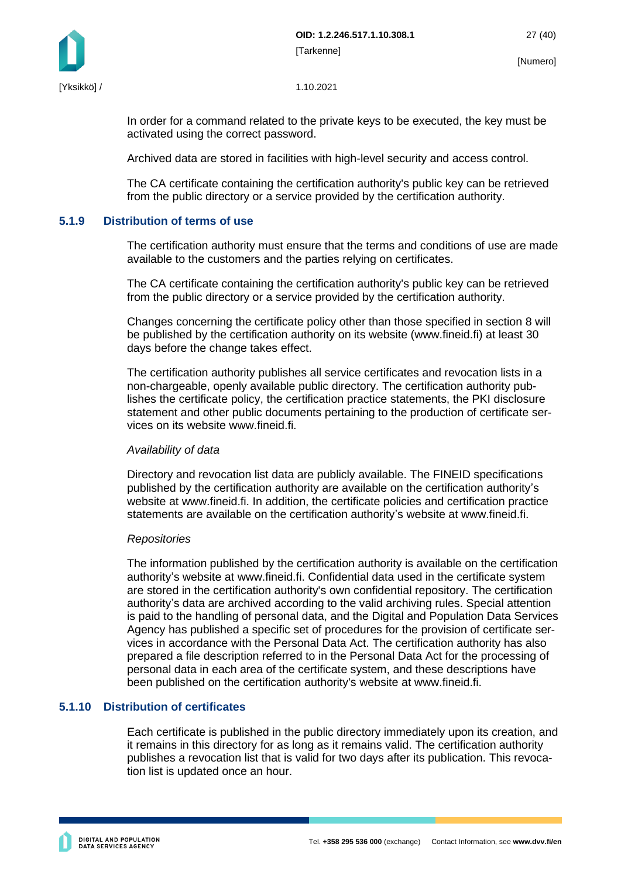

In order for a command related to the private keys to be executed, the key must be activated using the correct password.

Archived data are stored in facilities with high-level security and access control.

The CA certificate containing the certification authority's public key can be retrieved from the public directory or a service provided by the certification authority.

#### <span id="page-27-0"></span>**5.1.9 Distribution of terms of use**

The certification authority must ensure that the terms and conditions of use are made available to the customers and the parties relying on certificates.

The CA certificate containing the certification authority's public key can be retrieved from the public directory or a service provided by the certification authority.

Changes concerning the certificate policy other than those specified in section 8 will be published by the certification authority on its website (www.fineid.fi) at least 30 days before the change takes effect.

The certification authority publishes all service certificates and revocation lists in a non-chargeable, openly available public directory. The certification authority publishes the certificate policy, the certification practice statements, the PKI disclosure statement and other public documents pertaining to the production of certificate services on its website www.fineid.fi.

#### *Availability of data*

Directory and revocation list data are publicly available. The FINEID specifications published by the certification authority are available on the certification authority's website at www.fineid.fi. In addition, the certificate policies and certification practice statements are available on the certification authority's website at www.fineid.fi.

#### *Repositories*

The information published by the certification authority is available on the certification authority's website at www.fineid.fi. Confidential data used in the certificate system are stored in the certification authority's own confidential repository. The certification authority's data are archived according to the valid archiving rules. Special attention is paid to the handling of personal data, and the Digital and Population Data Services Agency has published a specific set of procedures for the provision of certificate services in accordance with the Personal Data Act. The certification authority has also prepared a file description referred to in the Personal Data Act for the processing of personal data in each area of the certificate system, and these descriptions have been published on the certification authority's website at www.fineid.fi.

#### <span id="page-27-1"></span>**5.1.10 Distribution of certificates**

Each certificate is published in the public directory immediately upon its creation, and it remains in this directory for as long as it remains valid. The certification authority publishes a revocation list that is valid for two days after its publication. This revocation list is updated once an hour.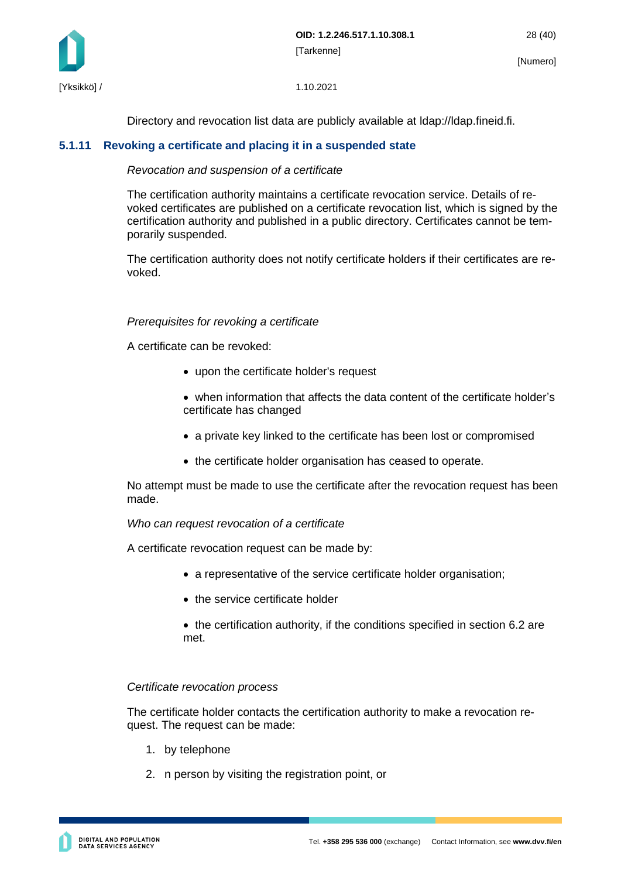

Directory and revocation list data are publicly available at ldap://ldap.fineid.fi.

#### <span id="page-28-0"></span>**5.1.11 Revoking a certificate and placing it in a suspended state**

#### *Revocation and suspension of a certificate*

The certification authority maintains a certificate revocation service. Details of revoked certificates are published on a certificate revocation list, which is signed by the certification authority and published in a public directory. Certificates cannot be temporarily suspended.

The certification authority does not notify certificate holders if their certificates are revoked.

#### *Prerequisites for revoking a certificate*

A certificate can be revoked:

- upon the certificate holder's request
- when information that affects the data content of the certificate holder's certificate has changed
- a private key linked to the certificate has been lost or compromised
- the certificate holder organisation has ceased to operate.

No attempt must be made to use the certificate after the revocation request has been made.

#### *Who can request revocation of a certificate*

A certificate revocation request can be made by:

- a representative of the service certificate holder organisation;
- the service certificate holder
- the certification authority, if the conditions specified in section 6.2 are met.

#### *Certificate revocation process*

The certificate holder contacts the certification authority to make a revocation request. The request can be made:

- 1. by telephone
- 2. n person by visiting the registration point, or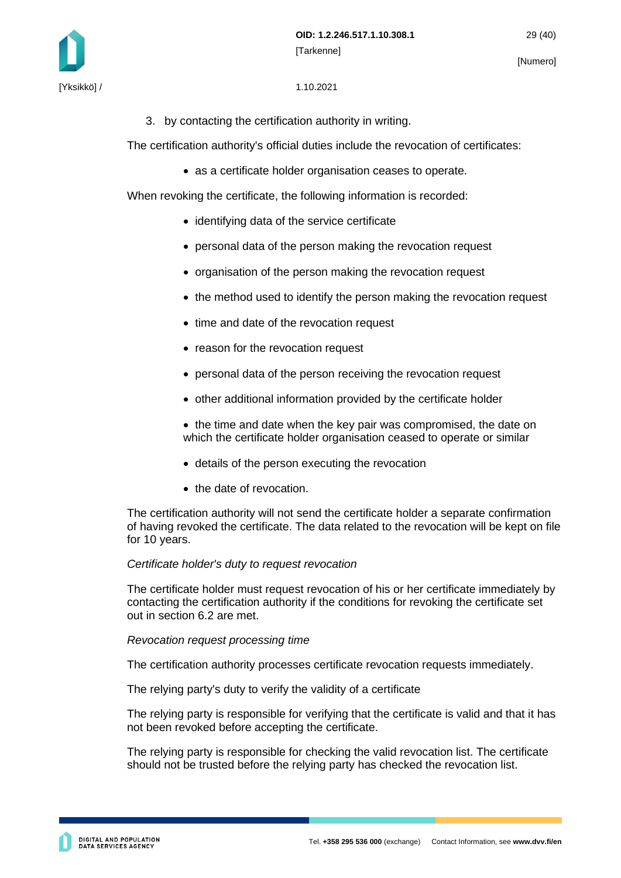

3. by contacting the certification authority in writing.

The certification authority's official duties include the revocation of certificates:

• as a certificate holder organisation ceases to operate.

When revoking the certificate, the following information is recorded:

- identifying data of the service certificate
- personal data of the person making the revocation request
- organisation of the person making the revocation request
- the method used to identify the person making the revocation request
- time and date of the revocation request
- reason for the revocation request
- personal data of the person receiving the revocation request
- other additional information provided by the certificate holder
- the time and date when the key pair was compromised, the date on which the certificate holder organisation ceased to operate or similar
- details of the person executing the revocation
- the date of revocation.

The certification authority will not send the certificate holder a separate confirmation of having revoked the certificate. The data related to the revocation will be kept on file for 10 years.

#### *Certificate holder's duty to request revocation*

The certificate holder must request revocation of his or her certificate immediately by contacting the certification authority if the conditions for revoking the certificate set out in section 6.2 are met.

#### *Revocation request processing time*

The certification authority processes certificate revocation requests immediately.

The relying party's duty to verify the validity of a certificate

The relying party is responsible for verifying that the certificate is valid and that it has not been revoked before accepting the certificate.

The relying party is responsible for checking the valid revocation list. The certificate should not be trusted before the relying party has checked the revocation list.

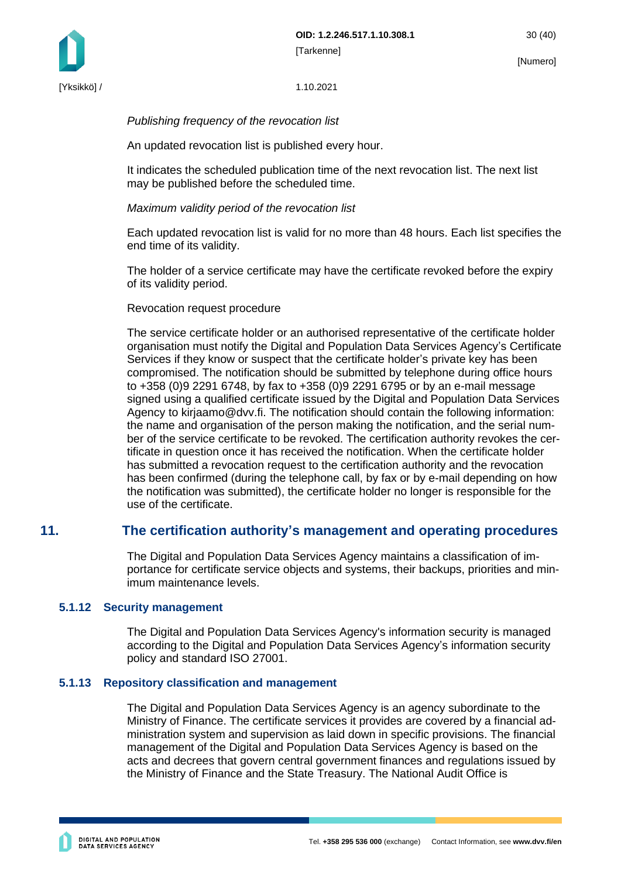

[Yksikkö] / 1.10.2021

#### *Publishing frequency of the revocation list*

An updated revocation list is published every hour.

It indicates the scheduled publication time of the next revocation list. The next list may be published before the scheduled time.

#### *Maximum validity period of the revocation list*

Each updated revocation list is valid for no more than 48 hours. Each list specifies the end time of its validity.

The holder of a service certificate may have the certificate revoked before the expiry of its validity period.

#### Revocation request procedure

The service certificate holder or an authorised representative of the certificate holder organisation must notify the Digital and Population Data Services Agency's Certificate Services if they know or suspect that the certificate holder's private key has been compromised. The notification should be submitted by telephone during office hours to +358 (0)9 2291 6748, by fax to +358 (0)9 2291 6795 or by an e-mail message signed using a qualified certificate issued by the Digital and Population Data Services Agency to kirjaamo@dvv.fi. The notification should contain the following information: the name and organisation of the person making the notification, and the serial number of the service certificate to be revoked. The certification authority revokes the certificate in question once it has received the notification. When the certificate holder has submitted a revocation request to the certification authority and the revocation has been confirmed (during the telephone call, by fax or by e-mail depending on how the notification was submitted), the certificate holder no longer is responsible for the use of the certificate.

### <span id="page-30-0"></span>**11. The certification authority's management and operating procedures**

The Digital and Population Data Services Agency maintains a classification of importance for certificate service objects and systems, their backups, priorities and minimum maintenance levels.

#### <span id="page-30-1"></span>**5.1.12 Security management**

The Digital and Population Data Services Agency's information security is managed according to the Digital and Population Data Services Agency's information security policy and standard ISO 27001.

#### <span id="page-30-2"></span>**5.1.13 Repository classification and management**

The Digital and Population Data Services Agency is an agency subordinate to the Ministry of Finance. The certificate services it provides are covered by a financial administration system and supervision as laid down in specific provisions. The financial management of the Digital and Population Data Services Agency is based on the acts and decrees that govern central government finances and regulations issued by the Ministry of Finance and the State Treasury. The National Audit Office is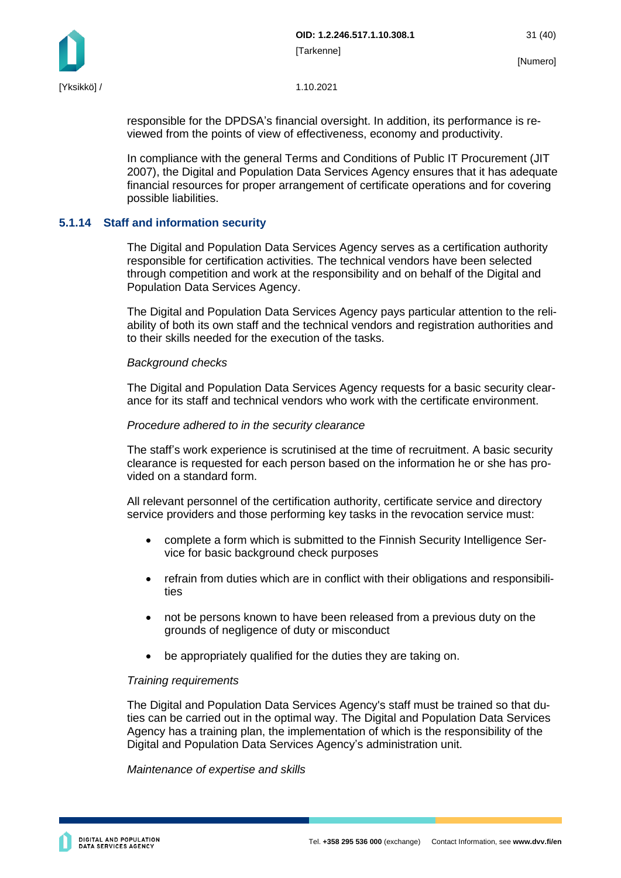

responsible for the DPDSA's financial oversight. In addition, its performance is reviewed from the points of view of effectiveness, economy and productivity.

In compliance with the general Terms and Conditions of Public IT Procurement (JIT 2007), the Digital and Population Data Services Agency ensures that it has adequate financial resources for proper arrangement of certificate operations and for covering possible liabilities.

#### <span id="page-31-0"></span>**5.1.14 Staff and information security**

The Digital and Population Data Services Agency serves as a certification authority responsible for certification activities. The technical vendors have been selected through competition and work at the responsibility and on behalf of the Digital and Population Data Services Agency.

The Digital and Population Data Services Agency pays particular attention to the reliability of both its own staff and the technical vendors and registration authorities and to their skills needed for the execution of the tasks.

#### *Background checks*

The Digital and Population Data Services Agency requests for a basic security clearance for its staff and technical vendors who work with the certificate environment.

#### *Procedure adhered to in the security clearance*

The staff's work experience is scrutinised at the time of recruitment. A basic security clearance is requested for each person based on the information he or she has provided on a standard form.

All relevant personnel of the certification authority, certificate service and directory service providers and those performing key tasks in the revocation service must:

- complete a form which is submitted to the Finnish Security Intelligence Service for basic background check purposes
- refrain from duties which are in conflict with their obligations and responsibilities
- not be persons known to have been released from a previous duty on the grounds of negligence of duty or misconduct
- be appropriately qualified for the duties they are taking on.

#### *Training requirements*

The Digital and Population Data Services Agency's staff must be trained so that duties can be carried out in the optimal way. The Digital and Population Data Services Agency has a training plan, the implementation of which is the responsibility of the Digital and Population Data Services Agency's administration unit.

#### *Maintenance of expertise and skills*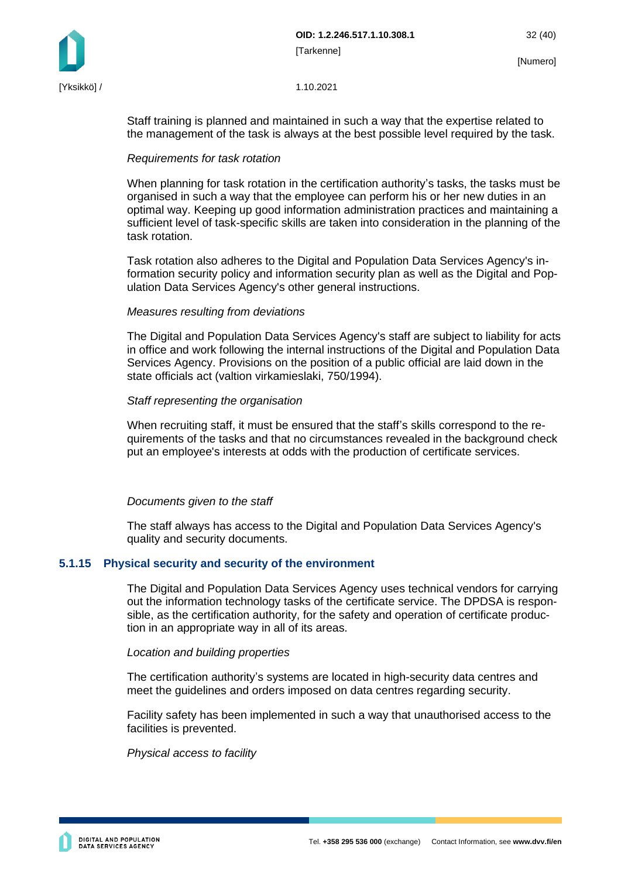

Staff training is planned and maintained in such a way that the expertise related to the management of the task is always at the best possible level required by the task.

#### *Requirements for task rotation*

When planning for task rotation in the certification authority's tasks, the tasks must be organised in such a way that the employee can perform his or her new duties in an optimal way. Keeping up good information administration practices and maintaining a sufficient level of task-specific skills are taken into consideration in the planning of the task rotation.

Task rotation also adheres to the Digital and Population Data Services Agency's information security policy and information security plan as well as the Digital and Population Data Services Agency's other general instructions.

#### *Measures resulting from deviations*

The Digital and Population Data Services Agency's staff are subject to liability for acts in office and work following the internal instructions of the Digital and Population Data Services Agency. Provisions on the position of a public official are laid down in the state officials act (valtion virkamieslaki, 750/1994).

#### *Staff representing the organisation*

When recruiting staff, it must be ensured that the staff's skills correspond to the requirements of the tasks and that no circumstances revealed in the background check put an employee's interests at odds with the production of certificate services.

#### *Documents given to the staff*

The staff always has access to the Digital and Population Data Services Agency's quality and security documents.

#### <span id="page-32-0"></span>**5.1.15 Physical security and security of the environment**

The Digital and Population Data Services Agency uses technical vendors for carrying out the information technology tasks of the certificate service. The DPDSA is responsible, as the certification authority, for the safety and operation of certificate production in an appropriate way in all of its areas.

#### *Location and building properties*

The certification authority's systems are located in high-security data centres and meet the guidelines and orders imposed on data centres regarding security.

Facility safety has been implemented in such a way that unauthorised access to the facilities is prevented.

#### *Physical access to facility*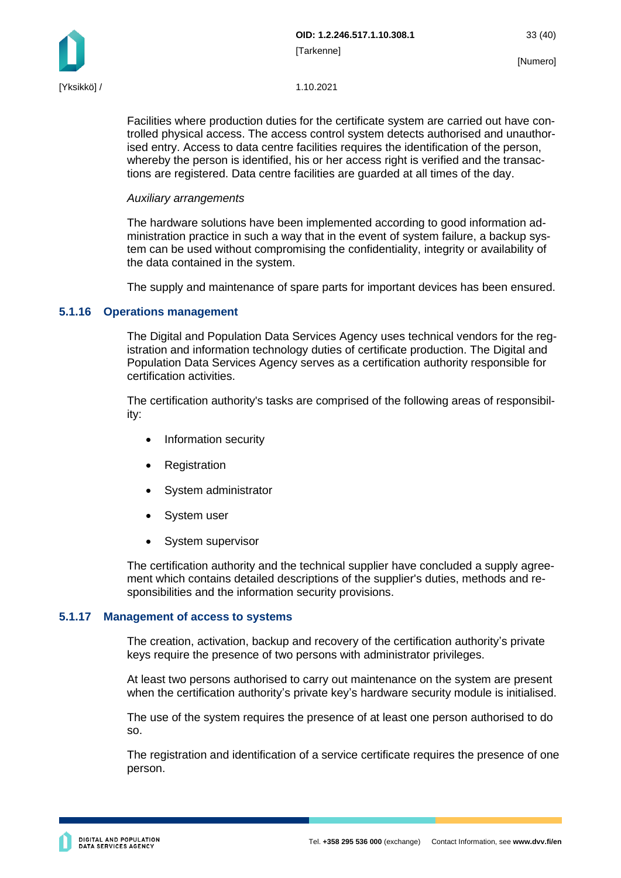

Facilities where production duties for the certificate system are carried out have controlled physical access. The access control system detects authorised and unauthorised entry. Access to data centre facilities requires the identification of the person, whereby the person is identified, his or her access right is verified and the transactions are registered. Data centre facilities are guarded at all times of the day.

#### *Auxiliary arrangements*

The hardware solutions have been implemented according to good information administration practice in such a way that in the event of system failure, a backup system can be used without compromising the confidentiality, integrity or availability of the data contained in the system.

The supply and maintenance of spare parts for important devices has been ensured.

#### <span id="page-33-0"></span>**5.1.16 Operations management**

The Digital and Population Data Services Agency uses technical vendors for the registration and information technology duties of certificate production. The Digital and Population Data Services Agency serves as a certification authority responsible for certification activities.

The certification authority's tasks are comprised of the following areas of responsibility:

- Information security
- **Registration**
- System administrator
- System user
- System supervisor

The certification authority and the technical supplier have concluded a supply agreement which contains detailed descriptions of the supplier's duties, methods and responsibilities and the information security provisions.

#### <span id="page-33-1"></span>**5.1.17 Management of access to systems**

The creation, activation, backup and recovery of the certification authority's private keys require the presence of two persons with administrator privileges.

At least two persons authorised to carry out maintenance on the system are present when the certification authority's private key's hardware security module is initialised.

The use of the system requires the presence of at least one person authorised to do so.

The registration and identification of a service certificate requires the presence of one person.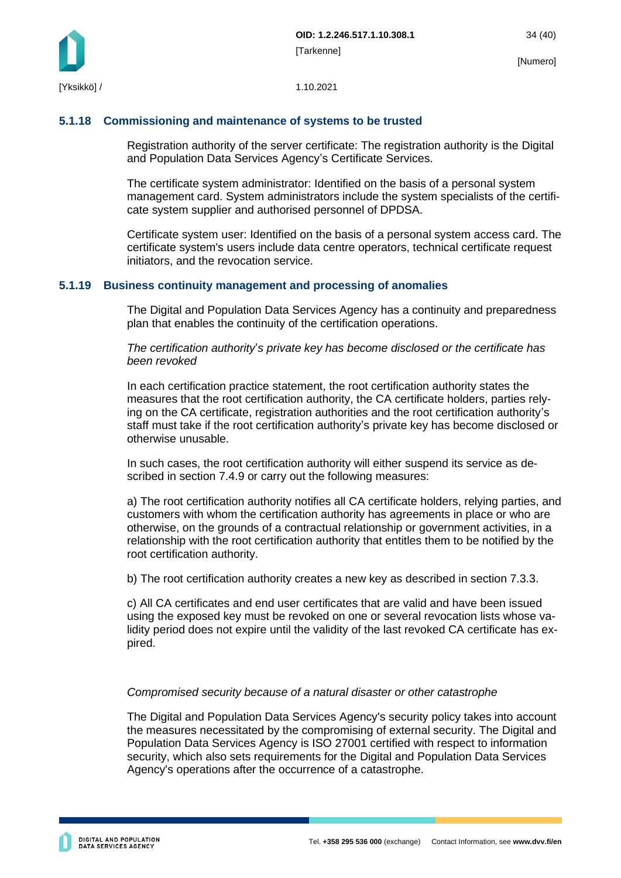

#### <span id="page-34-0"></span>**5.1.18 Commissioning and maintenance of systems to be trusted**

Registration authority of the server certificate: The registration authority is the Digital and Population Data Services Agency's Certificate Services.

The certificate system administrator: Identified on the basis of a personal system management card. System administrators include the system specialists of the certificate system supplier and authorised personnel of DPDSA.

Certificate system user: Identified on the basis of a personal system access card. The certificate system's users include data centre operators, technical certificate request initiators, and the revocation service.

#### <span id="page-34-1"></span>**5.1.19 Business continuity management and processing of anomalies**

The Digital and Population Data Services Agency has a continuity and preparedness plan that enables the continuity of the certification operations.

*The certification authority*'*s private key has become disclosed or the certificate has been revoked*

In each certification practice statement, the root certification authority states the measures that the root certification authority, the CA certificate holders, parties relying on the CA certificate, registration authorities and the root certification authority's staff must take if the root certification authority's private key has become disclosed or otherwise unusable.

In such cases, the root certification authority will either suspend its service as described in section 7.4.9 or carry out the following measures:

a) The root certification authority notifies all CA certificate holders, relying parties, and customers with whom the certification authority has agreements in place or who are otherwise, on the grounds of a contractual relationship or government activities, in a relationship with the root certification authority that entitles them to be notified by the root certification authority.

b) The root certification authority creates a new key as described in section 7.3.3.

c) All CA certificates and end user certificates that are valid and have been issued using the exposed key must be revoked on one or several revocation lists whose validity period does not expire until the validity of the last revoked CA certificate has expired.

#### *Compromised security because of a natural disaster or other catastrophe*

The Digital and Population Data Services Agency's security policy takes into account the measures necessitated by the compromising of external security. The Digital and Population Data Services Agency is ISO 27001 certified with respect to information security, which also sets requirements for the Digital and Population Data Services Agency's operations after the occurrence of a catastrophe.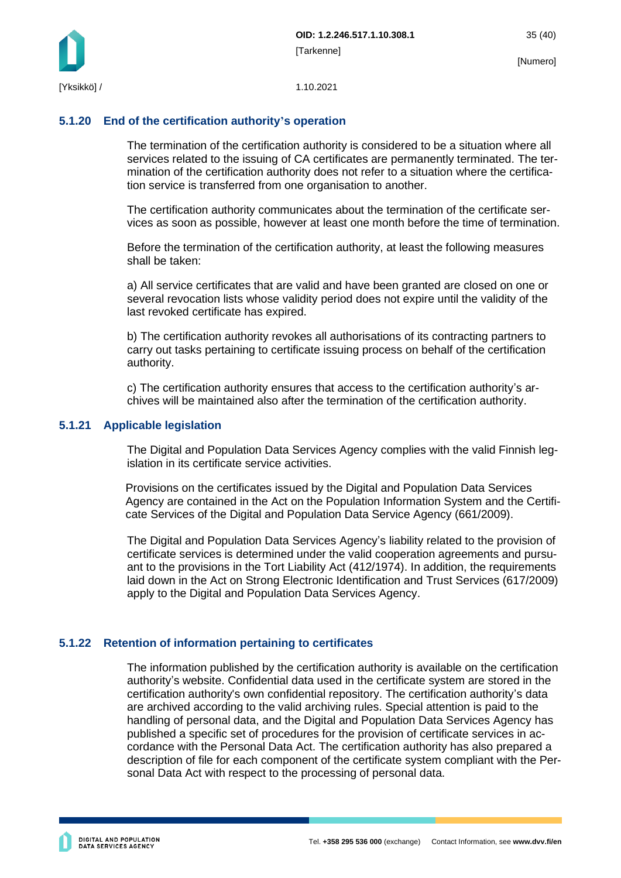

#### <span id="page-35-0"></span>**5.1.20 End of the certification authority's operation**

The termination of the certification authority is considered to be a situation where all services related to the issuing of CA certificates are permanently terminated. The termination of the certification authority does not refer to a situation where the certification service is transferred from one organisation to another.

The certification authority communicates about the termination of the certificate services as soon as possible, however at least one month before the time of termination.

Before the termination of the certification authority, at least the following measures shall be taken:

a) All service certificates that are valid and have been granted are closed on one or several revocation lists whose validity period does not expire until the validity of the last revoked certificate has expired.

b) The certification authority revokes all authorisations of its contracting partners to carry out tasks pertaining to certificate issuing process on behalf of the certification authority.

c) The certification authority ensures that access to the certification authority's archives will be maintained also after the termination of the certification authority.

#### <span id="page-35-1"></span>**5.1.21 Applicable legislation**

The Digital and Population Data Services Agency complies with the valid Finnish legislation in its certificate service activities.

Provisions on the certificates issued by the Digital and Population Data Services Agency are contained in the Act on the Population Information System and the Certificate Services of the Digital and Population Data Service Agency (661/2009).

The Digital and Population Data Services Agency's liability related to the provision of certificate services is determined under the valid cooperation agreements and pursuant to the provisions in the Tort Liability Act (412/1974). In addition, the requirements laid down in the Act on Strong Electronic Identification and Trust Services (617/2009) apply to the Digital and Population Data Services Agency.

#### <span id="page-35-2"></span>**5.1.22 Retention of information pertaining to certificates**

The information published by the certification authority is available on the certification authority's website. Confidential data used in the certificate system are stored in the certification authority's own confidential repository. The certification authority's data are archived according to the valid archiving rules. Special attention is paid to the handling of personal data, and the Digital and Population Data Services Agency has published a specific set of procedures for the provision of certificate services in accordance with the Personal Data Act. The certification authority has also prepared a description of file for each component of the certificate system compliant with the Personal Data Act with respect to the processing of personal data.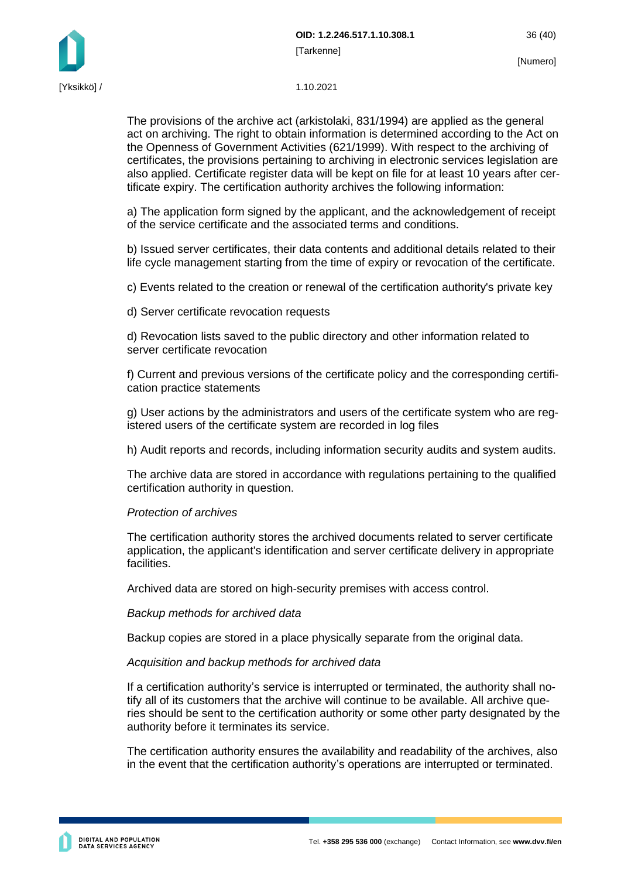#### [Yksikkö] / 1.10.2021

The provisions of the archive act (arkistolaki, 831/1994) are applied as the general act on archiving. The right to obtain information is determined according to the Act on the Openness of Government Activities (621/1999). With respect to the archiving of certificates, the provisions pertaining to archiving in electronic services legislation are also applied. Certificate register data will be kept on file for at least 10 years after certificate expiry. The certification authority archives the following information:

a) The application form signed by the applicant, and the acknowledgement of receipt of the service certificate and the associated terms and conditions.

b) Issued server certificates, their data contents and additional details related to their life cycle management starting from the time of expiry or revocation of the certificate.

c) Events related to the creation or renewal of the certification authority's private key

d) Server certificate revocation requests

d) Revocation lists saved to the public directory and other information related to server certificate revocation

f) Current and previous versions of the certificate policy and the corresponding certification practice statements

g) User actions by the administrators and users of the certificate system who are registered users of the certificate system are recorded in log files

h) Audit reports and records, including information security audits and system audits.

The archive data are stored in accordance with regulations pertaining to the qualified certification authority in question.

#### *Protection of archives*

The certification authority stores the archived documents related to server certificate application, the applicant's identification and server certificate delivery in appropriate facilities.

Archived data are stored on high-security premises with access control.

*Backup methods for archived data*

Backup copies are stored in a place physically separate from the original data.

#### *Acquisition and backup methods for archived data*

If a certification authority's service is interrupted or terminated, the authority shall notify all of its customers that the archive will continue to be available. All archive queries should be sent to the certification authority or some other party designated by the authority before it terminates its service.

The certification authority ensures the availability and readability of the archives, also in the event that the certification authority's operations are interrupted or terminated.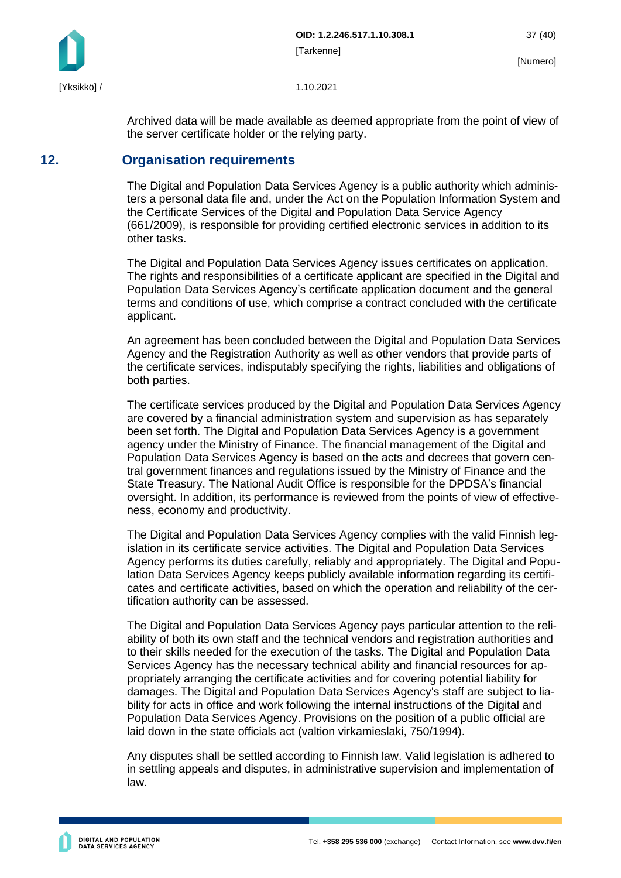Archived data will be made available as deemed appropriate from the point of view of the server certificate holder or the relying party.

### <span id="page-37-0"></span>**12. Organisation requirements**

The Digital and Population Data Services Agency is a public authority which administers a personal data file and, under the Act on the Population Information System and the Certificate Services of the Digital and Population Data Service Agency (661/2009), is responsible for providing certified electronic services in addition to its other tasks.

The Digital and Population Data Services Agency issues certificates on application. The rights and responsibilities of a certificate applicant are specified in the Digital and Population Data Services Agency's certificate application document and the general terms and conditions of use, which comprise a contract concluded with the certificate applicant.

An agreement has been concluded between the Digital and Population Data Services Agency and the Registration Authority as well as other vendors that provide parts of the certificate services, indisputably specifying the rights, liabilities and obligations of both parties.

The certificate services produced by the Digital and Population Data Services Agency are covered by a financial administration system and supervision as has separately been set forth. The Digital and Population Data Services Agency is a government agency under the Ministry of Finance. The financial management of the Digital and Population Data Services Agency is based on the acts and decrees that govern central government finances and regulations issued by the Ministry of Finance and the State Treasury. The National Audit Office is responsible for the DPDSA's financial oversight. In addition, its performance is reviewed from the points of view of effectiveness, economy and productivity.

The Digital and Population Data Services Agency complies with the valid Finnish legislation in its certificate service activities. The Digital and Population Data Services Agency performs its duties carefully, reliably and appropriately. The Digital and Population Data Services Agency keeps publicly available information regarding its certificates and certificate activities, based on which the operation and reliability of the certification authority can be assessed.

The Digital and Population Data Services Agency pays particular attention to the reliability of both its own staff and the technical vendors and registration authorities and to their skills needed for the execution of the tasks. The Digital and Population Data Services Agency has the necessary technical ability and financial resources for appropriately arranging the certificate activities and for covering potential liability for damages. The Digital and Population Data Services Agency's staff are subject to liability for acts in office and work following the internal instructions of the Digital and Population Data Services Agency. Provisions on the position of a public official are laid down in the state officials act (valtion virkamieslaki, 750/1994).

Any disputes shall be settled according to Finnish law. Valid legislation is adhered to in settling appeals and disputes, in administrative supervision and implementation of law.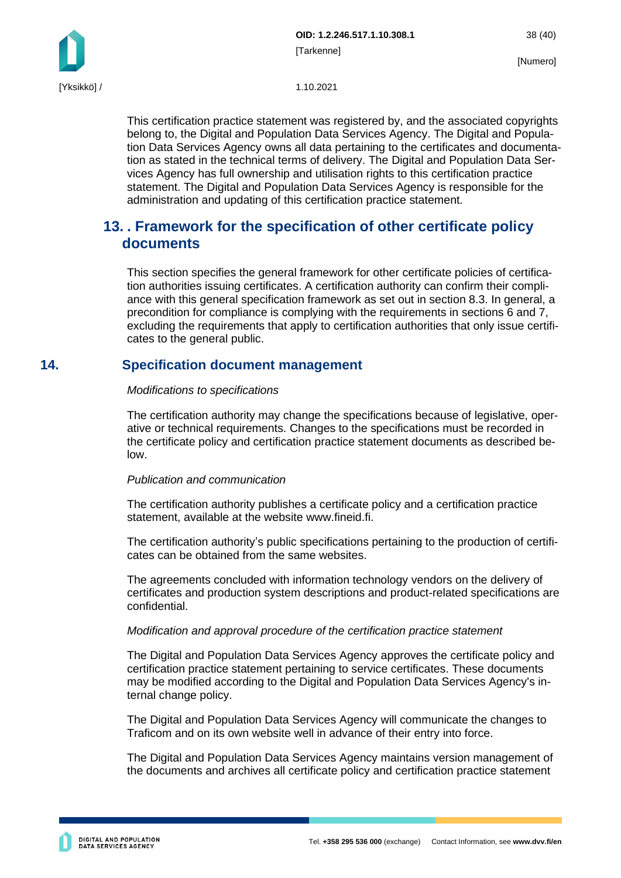

This certification practice statement was registered by, and the associated copyrights belong to, the Digital and Population Data Services Agency. The Digital and Population Data Services Agency owns all data pertaining to the certificates and documentation as stated in the technical terms of delivery. The Digital and Population Data Services Agency has full ownership and utilisation rights to this certification practice statement. The Digital and Population Data Services Agency is responsible for the administration and updating of this certification practice statement.

### <span id="page-38-0"></span>**13. . Framework for the specification of other certificate policy documents**

This section specifies the general framework for other certificate policies of certification authorities issuing certificates. A certification authority can confirm their compliance with this general specification framework as set out in section 8.3. In general, a precondition for compliance is complying with the requirements in sections 6 and 7, excluding the requirements that apply to certification authorities that only issue certificates to the general public.

### <span id="page-38-1"></span>**14. Specification document management**

#### *Modifications to specifications*

The certification authority may change the specifications because of legislative, operative or technical requirements. Changes to the specifications must be recorded in the certificate policy and certification practice statement documents as described below.

#### *Publication and communication*

The certification authority publishes a certificate policy and a certification practice statement, available at the website www.fineid.fi.

The certification authority's public specifications pertaining to the production of certificates can be obtained from the same websites.

The agreements concluded with information technology vendors on the delivery of certificates and production system descriptions and product-related specifications are confidential.

#### *Modification and approval procedure of the certification practice statement*

The Digital and Population Data Services Agency approves the certificate policy and certification practice statement pertaining to service certificates. These documents may be modified according to the Digital and Population Data Services Agency's internal change policy.

The Digital and Population Data Services Agency will communicate the changes to Traficom and on its own website well in advance of their entry into force.

The Digital and Population Data Services Agency maintains version management of the documents and archives all certificate policy and certification practice statement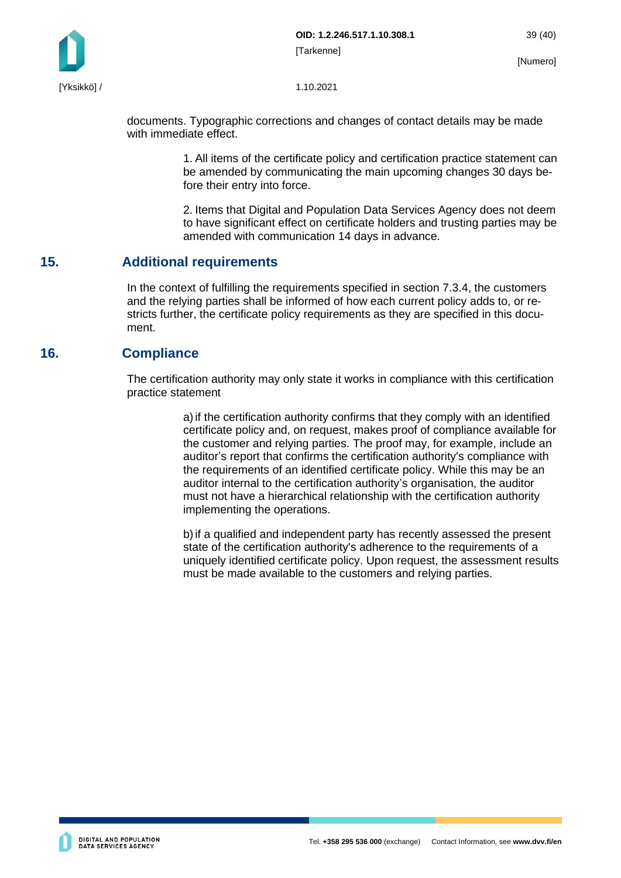

documents. Typographic corrections and changes of contact details may be made with immediate effect.

> 1. All items of the certificate policy and certification practice statement can be amended by communicating the main upcoming changes 30 days before their entry into force.

> 2. Items that Digital and Population Data Services Agency does not deem to have significant effect on certificate holders and trusting parties may be amended with communication 14 days in advance.

### <span id="page-39-0"></span>**15. Additional requirements**

In the context of fulfilling the requirements specified in section 7.3.4, the customers and the relying parties shall be informed of how each current policy adds to, or restricts further, the certificate policy requirements as they are specified in this document.

### <span id="page-39-1"></span>**16. Compliance**

The certification authority may only state it works in compliance with this certification practice statement

> a) if the certification authority confirms that they comply with an identified certificate policy and, on request, makes proof of compliance available for the customer and relying parties. The proof may, for example, include an auditor's report that confirms the certification authority's compliance with the requirements of an identified certificate policy. While this may be an auditor internal to the certification authority's organisation, the auditor must not have a hierarchical relationship with the certification authority implementing the operations.

> b)if a qualified and independent party has recently assessed the present state of the certification authority's adherence to the requirements of a uniquely identified certificate policy. Upon request, the assessment results must be made available to the customers and relying parties.